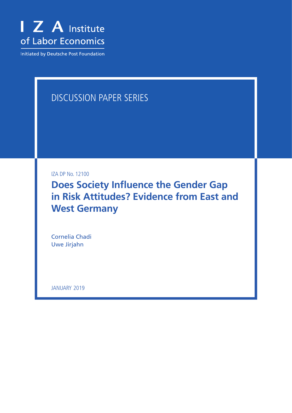

Initiated by Deutsche Post Foundation

## DISCUSSION PAPER SERIES

IZA DP No. 12100

**Does Society Influence the Gender Gap in Risk Attitudes? Evidence from East and West Germany**

Cornelia Chadi Uwe Jirjahn

JANUARY 2019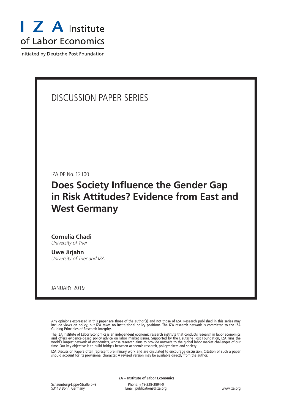

Initiated by Deutsche Post Foundation

## DISCUSSION PAPER SERIES

IZA DP No. 12100

## **Does Society Influence the Gender Gap in Risk Attitudes? Evidence from East and West Germany**

**Cornelia Chadi** *University of Trier*

**Uwe Jirjahn** *University of Trier and IZA*

JANUARY 2019

Any opinions expressed in this paper are those of the author(s) and not those of IZA. Research published in this series may include views on policy, but IZA takes no institutional policy positions. The IZA research network is committed to the IZA Guiding Principles of Research Integrity.

The IZA Institute of Labor Economics is an independent economic research institute that conducts research in labor economics and offers evidence-based policy advice on labor market issues. Supported by the Deutsche Post Foundation, IZA runs the world's largest network of economists, whose research aims to provide answers to the global labor market challenges of our time. Our key objective is to build bridges between academic research, policymakers and society.

IZA Discussion Papers often represent preliminary work and are circulated to encourage discussion. Citation of such a paper should account for its provisional character. A revised version may be available directly from the author.

|                                                    | IZA - Institute of Labor Economics                   |             |
|----------------------------------------------------|------------------------------------------------------|-------------|
| Schaumburg-Lippe-Straße 5–9<br>53113 Bonn, Germany | Phone: +49-228-3894-0<br>Email: publications@iza.org | www.iza.org |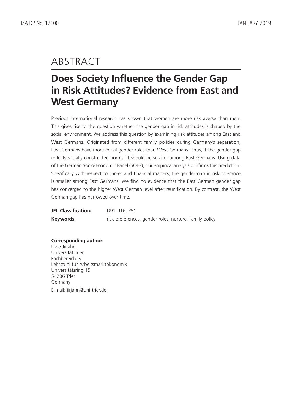## ABSTRACT

# **Does Society Influence the Gender Gap in Risk Attitudes? Evidence from East and West Germany**

Previous international research has shown that women are more risk averse than men. This gives rise to the question whether the gender gap in risk attitudes is shaped by the social environment. We address this question by examining risk attitudes among East and West Germans. Originated from different family policies during Germany's separation, East Germans have more equal gender roles than West Germans. Thus, if the gender gap reflects socially constructed norms, it should be smaller among East Germans. Using data of the German Socio-Economic Panel (SOEP), our empirical analysis confirms this prediction. Specifically with respect to career and financial matters, the gender gap in risk tolerance is smaller among East Germans. We find no evidence that the East German gender gap has converged to the higher West German level after reunification. By contrast, the West German gap has narrowed over time.

| <b>JEL Classification:</b> | D91, J16, P51                                          |
|----------------------------|--------------------------------------------------------|
| Keywords:                  | risk preferences, gender roles, nurture, family policy |

**Corresponding author:** Uwe Jirjahn Universität Trier Fachbereich IV Lehrstuhl für Arbeitsmarktökonomik Universitätsring 15 54286 Trier Germany E-mail: jirjahn@uni-trier.de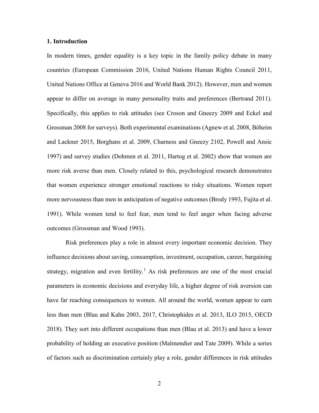## **1. Introduction**

In modern times, gender equality is a key topic in the family policy debate in many countries (European Commission 2016, United Nations Human Rights Council 2011, United Nations Office at Geneva 2016 and World Bank 2012). However, men and women appear to differ on average in many personality traits and preferences (Bertrand 2011). Specifically, this applies to risk attitudes (see Croson and Gneezy 2009 and Eckel and Grossman 2008 for surveys). Both experimental examinations (Agnew et al. 2008, Böheim and Lackner 2015, Borghans et al. 2009, Charness and Gneezy 2102, Powell and Ansic 1997) and survey studies (Dohmen et al. 2011, Hartog et al. 2002) show that women are more risk averse than men. Closely related to this, psychological research demonstrates that women experience stronger emotional reactions to risky situations. Women report more nervousness than men in anticipation of negative outcomes (Brody 1993, Fujita et al. 1991). While women tend to feel fear, men tend to feel anger when facing adverse outcomes (Grossman and Wood 1993).

Risk preferences play a role in almost every important economic decision. They influence decisions about saving, consumption, investment, occupation, career, bargaining strategy, migration and even fertility.<sup>[1](#page-43-0)</sup> As risk preferences are one of the most crucial parameters in economic decisions and everyday life, a higher degree of risk aversion can have far reaching consequences to women. All around the world, women appear to earn less than men (Blau and Kahn 2003, 2017, Christophides et al. 2013, ILO 2015, OECD 2018). They sort into different occupations than men (Blau et al. 2013) and have a lower probability of holding an executive position (Malmendier and Tate 2009). While a series of factors such as discrimination certainly play a role, gender differences in risk attitudes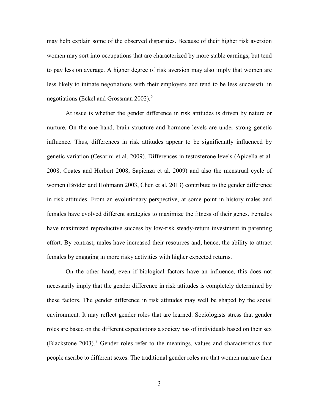may help explain some of the observed disparities. Because of their higher risk aversion women may sort into occupations that are characterized by more stable earnings, but tend to pay less on average. A higher degree of risk aversion may also imply that women are less likely to initiate negotiations with their employers and tend to be less successful in negotiations (Eckel and Grossman 2002). [2](#page-43-1)

At issue is whether the gender difference in risk attitudes is driven by nature or nurture. On the one hand, brain structure and hormone levels are under strong genetic influence. Thus, differences in risk attitudes appear to be significantly influenced by genetic variation (Cesarini et al. 2009). Differences in testosterone levels (Apicella et al. 2008, Coates and Herbert 2008, Sapienza et al. 2009) and also the menstrual cycle of women (Bröder and Hohmann 2003, Chen et al. 2013) contribute to the gender difference in risk attitudes. From an evolutionary perspective, at some point in history males and females have evolved different strategies to maximize the fitness of their genes. Females have maximized reproductive success by low-risk steady-return investment in parenting effort. By contrast, males have increased their resources and, hence, the ability to attract females by engaging in more risky activities with higher expected returns.

On the other hand, even if biological factors have an influence, this does not necessarily imply that the gender difference in risk attitudes is completely determined by these factors. The gender difference in risk attitudes may well be shaped by the social environment. It may reflect gender roles that are learned. Sociologists stress that gender roles are based on the different expectations a society has of individuals based on their sex (Blackstone 200[3](#page-43-2)).<sup>3</sup> Gender roles refer to the meanings, values and characteristics that people ascribe to different sexes. The traditional gender roles are that women nurture their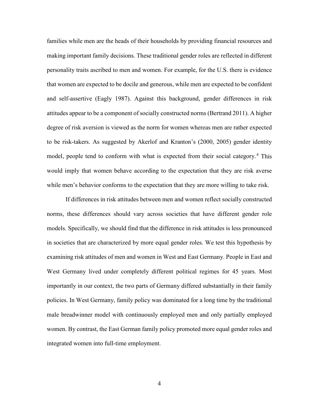families while men are the heads of their households by providing financial resources and making important family decisions. These traditional gender roles are reflected in different personality traits ascribed to men and women. For example, for the U.S. there is evidence that women are expected to be docile and generous, while men are expected to be confident and self-assertive (Eagly 1987). Against this background, gender differences in risk attitudes appear to be a component of socially constructed norms (Bertrand 2011). A higher degree of risk aversion is viewed as the norm for women whereas men are rather expected to be risk-takers. As suggested by Akerlof and Kranton's (2000, 2005) gender identity model, people tend to conform with what is expected from their social category.<sup>[4](#page-43-3)</sup> This would imply that women behave according to the expectation that they are risk averse while men's behavior conforms to the expectation that they are more willing to take risk.

If differences in risk attitudes between men and women reflect socially constructed norms, these differences should vary across societies that have different gender role models. Specifically, we should find that the difference in risk attitudes is less pronounced in societies that are characterized by more equal gender roles. We test this hypothesis by examining risk attitudes of men and women in West and East Germany. People in East and West Germany lived under completely different political regimes for 45 years. Most importantly in our context, the two parts of Germany differed substantially in their family policies. In West Germany, family policy was dominated for a long time by the traditional male breadwinner model with continuously employed men and only partially employed women. By contrast, the East German family policy promoted more equal gender roles and integrated women into full-time employment.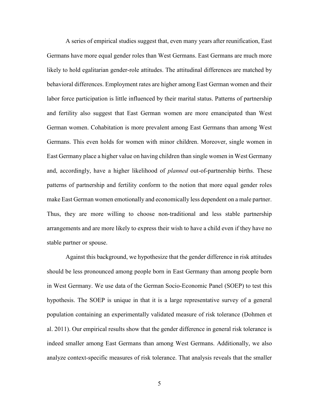A series of empirical studies suggest that, even many years after reunification, East Germans have more equal gender roles than West Germans. East Germans are much more likely to hold egalitarian gender-role attitudes. The attitudinal differences are matched by behavioral differences. Employment rates are higher among East German women and their labor force participation is little influenced by their marital status. Patterns of partnership and fertility also suggest that East German women are more emancipated than West German women. Cohabitation is more prevalent among East Germans than among West Germans. This even holds for women with minor children. Moreover, single women in East Germany place a higher value on having children than single women in West Germany and, accordingly, have a higher likelihood of *planned* out-of-partnership births. These patterns of partnership and fertility conform to the notion that more equal gender roles make East German women emotionally and economically less dependent on a male partner. Thus, they are more willing to choose non-traditional and less stable partnership arrangements and are more likely to express their wish to have a child even if they have no stable partner or spouse.

Against this background, we hypothesize that the gender difference in risk attitudes should be less pronounced among people born in East Germany than among people born in West Germany. We use data of the German Socio-Economic Panel (SOEP) to test this hypothesis. The SOEP is unique in that it is a large representative survey of a general population containing an experimentally validated measure of risk tolerance (Dohmen et al. 2011). Our empirical results show that the gender difference in general risk tolerance is indeed smaller among East Germans than among West Germans. Additionally, we also analyze context-specific measures of risk tolerance. That analysis reveals that the smaller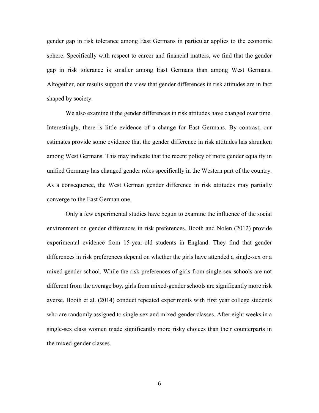gender gap in risk tolerance among East Germans in particular applies to the economic sphere. Specifically with respect to career and financial matters, we find that the gender gap in risk tolerance is smaller among East Germans than among West Germans. Altogether, our results support the view that gender differences in risk attitudes are in fact shaped by society.

We also examine if the gender differences in risk attitudes have changed over time. Interestingly, there is little evidence of a change for East Germans. By contrast, our estimates provide some evidence that the gender difference in risk attitudes has shrunken among West Germans. This may indicate that the recent policy of more gender equality in unified Germany has changed gender roles specifically in the Western part of the country. As a consequence, the West German gender difference in risk attitudes may partially converge to the East German one.

Only a few experimental studies have begun to examine the influence of the social environment on gender differences in risk preferences. Booth and Nolen (2012) provide experimental evidence from 15-year-old students in England. They find that gender differences in risk preferences depend on whether the girls have attended a single-sex or a mixed-gender school. While the risk preferences of girls from single-sex schools are not different from the average boy, girls from mixed-gender schools are significantly more risk averse. Booth et al. (2014) conduct repeated experiments with first year college students who are randomly assigned to single-sex and mixed-gender classes. After eight weeks in a single-sex class women made significantly more risky choices than their counterparts in the mixed-gender classes.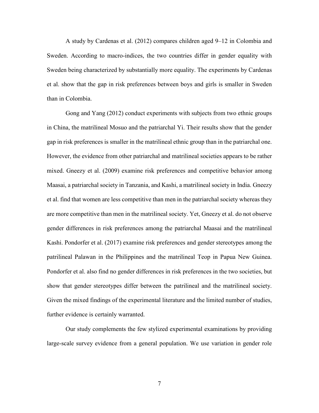A study by Cardenas et al. (2012) compares children aged 9–12 in Colombia and Sweden. According to macro-indices, the two countries differ in gender equality with Sweden being characterized by substantially more equality. The experiments by Cardenas et al. show that the gap in risk preferences between boys and girls is smaller in Sweden than in Colombia.

Gong and Yang (2012) conduct experiments with subjects from two ethnic groups in China, the matrilineal Mosuo and the patriarchal Yi. Their results show that the gender gap in risk preferences is smaller in the matrilineal ethnic group than in the patriarchal one. However, the evidence from other patriarchal and matrilineal societies appears to be rather mixed. Gneezy et al. (2009) examine risk preferences and competitive behavior among Maasai, a patriarchal society in Tanzania, and Kashi, a matrilineal society in India. Gneezy et al. find that women are less competitive than men in the patriarchal society whereas they are more competitive than men in the matrilineal society. Yet, Gneezy et al. do not observe gender differences in risk preferences among the patriarchal Maasai and the matrilineal Kashi. Pondorfer et al. (2017) examine risk preferences and gender stereotypes among the patrilineal Palawan in the Philippines and the matrilineal Teop in Papua New Guinea. Pondorfer et al. also find no gender differences in risk preferences in the two societies, but show that gender stereotypes differ between the patrilineal and the matrilineal society. Given the mixed findings of the experimental literature and the limited number of studies, further evidence is certainly warranted.

Our study complements the few stylized experimental examinations by providing large-scale survey evidence from a general population. We use variation in gender role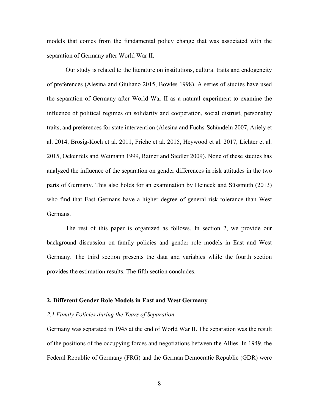models that comes from the fundamental policy change that was associated with the separation of Germany after World War II.

Our study is related to the literature on institutions, cultural traits and endogeneity of preferences (Alesina and Giuliano 2015, Bowles 1998). A series of studies have used the separation of Germany after World War II as a natural experiment to examine the influence of political regimes on solidarity and cooperation, social distrust, personality traits, and preferences for state intervention (Alesina and Fuchs-Schündeln 2007, Ariely et al. 2014, Brosig-Koch et al. 2011, Friehe et al. 2015, Heywood et al. 2017, Lichter et al. 2015, Ockenfels and Weimann 1999, Rainer and Siedler 2009). None of these studies has analyzed the influence of the separation on gender differences in risk attitudes in the two parts of Germany. This also holds for an examination by Heineck and Süssmuth (2013) who find that East Germans have a higher degree of general risk tolerance than West Germans.

The rest of this paper is organized as follows. In section 2, we provide our background discussion on family policies and gender role models in East and West Germany. The third section presents the data and variables while the fourth section provides the estimation results. The fifth section concludes.

#### **2. Different Gender Role Models in East and West Germany**

## *2.1 Family Policies during the Years of Separation*

Germany was separated in 1945 at the end of World War II. The separation was the result of the positions of the occupying forces and negotiations between the Allies. In 1949, the Federal Republic of Germany (FRG) and the German Democratic Republic (GDR) were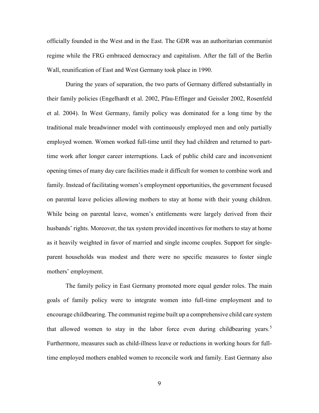officially founded in the West and in the East. The GDR was an authoritarian communist regime while the FRG embraced democracy and capitalism. After the fall of the Berlin Wall, reunification of East and West Germany took place in 1990.

During the years of separation, the two parts of Germany differed substantially in their family policies (Engelhardt et al. 2002, Pfau-Effinger and Geissler 2002, Rosenfeld et al. 2004). In West Germany, family policy was dominated for a long time by the traditional male breadwinner model with continuously employed men and only partially employed women. Women worked full-time until they had children and returned to parttime work after longer career interruptions. Lack of public child care and inconvenient opening times of many day care facilities made it difficult for women to combine work and family. Instead of facilitating women's employment opportunities, the government focused on parental leave policies allowing mothers to stay at home with their young children. While being on parental leave, women's entitlements were largely derived from their husbands' rights. Moreover, the tax system provided incentives for mothers to stay at home as it heavily weighted in favor of married and single income couples. Support for singleparent households was modest and there were no specific measures to foster single mothers' employment.

The family policy in East Germany promoted more equal gender roles. The main goals of family policy were to integrate women into full-time employment and to encourage childbearing. The communist regime built up a comprehensive child care system that allowed women to stay in the labor force even during childbearing years.<sup>[5](#page-43-4)</sup> Furthermore, measures such as child-illness leave or reductions in working hours for fulltime employed mothers enabled women to reconcile work and family. East Germany also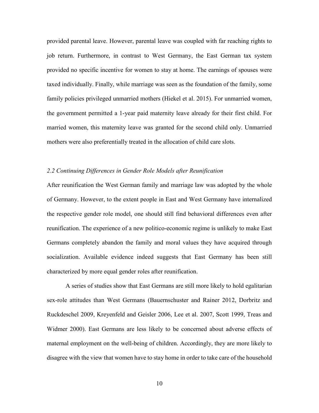provided parental leave. However, parental leave was coupled with far reaching rights to job return. Furthermore, in contrast to West Germany, the East German tax system provided no specific incentive for women to stay at home. The earnings of spouses were taxed individually. Finally, while marriage was seen as the foundation of the family, some family policies privileged unmarried mothers (Hiekel et al. 2015). For unmarried women, the government permitted a 1-year paid maternity leave already for their first child. For married women, this maternity leave was granted for the second child only. Unmarried mothers were also preferentially treated in the allocation of child care slots.

## *2.2 Continuing Differences in Gender Role Models after Reunification*

After reunification the West German family and marriage law was adopted by the whole of Germany. However, to the extent people in East and West Germany have internalized the respective gender role model, one should still find behavioral differences even after reunification. The experience of a new politico-economic regime is unlikely to make East Germans completely abandon the family and moral values they have acquired through socialization. Available evidence indeed suggests that East Germany has been still characterized by more equal gender roles after reunification.

A series of studies show that East Germans are still more likely to hold egalitarian sex-role attitudes than West Germans (Bauernschuster and Rainer 2012, Dorbritz and Ruckdeschel 2009, Kreyenfeld and Geisler 2006, Lee et al. 2007, Scott 1999, Treas and Widmer 2000). East Germans are less likely to be concerned about adverse effects of maternal employment on the well-being of children. Accordingly, they are more likely to disagree with the view that women have to stay home in order to take care of the household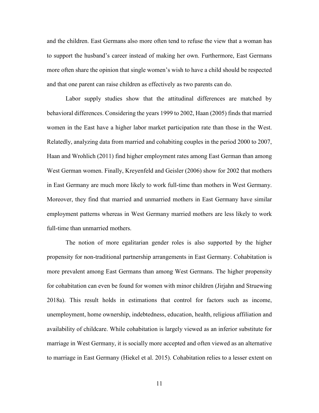and the children. East Germans also more often tend to refuse the view that a woman has to support the husband's career instead of making her own. Furthermore, East Germans more often share the opinion that single women's wish to have a child should be respected and that one parent can raise children as effectively as two parents can do.

Labor supply studies show that the attitudinal differences are matched by behavioral differences. Considering the years 1999 to 2002, Haan (2005) finds that married women in the East have a higher labor market participation rate than those in the West. Relatedly, analyzing data from married and cohabiting couples in the period 2000 to 2007, Haan and Wrohlich (2011) find higher employment rates among East German than among West German women. Finally, Kreyenfeld and Geisler (2006) show for 2002 that mothers in East Germany are much more likely to work full-time than mothers in West Germany. Moreover, they find that married and unmarried mothers in East Germany have similar employment patterns whereas in West Germany married mothers are less likely to work full-time than unmarried mothers.

The notion of more egalitarian gender roles is also supported by the higher propensity for non-traditional partnership arrangements in East Germany. Cohabitation is more prevalent among East Germans than among West Germans. The higher propensity for cohabitation can even be found for women with minor children (Jirjahn and Struewing 2018a). This result holds in estimations that control for factors such as income, unemployment, home ownership, indebtedness, education, health, religious affiliation and availability of childcare. While cohabitation is largely viewed as an inferior substitute for marriage in West Germany, it is socially more accepted and often viewed as an alternative to marriage in East Germany (Hiekel et al. 2015). Cohabitation relies to a lesser extent on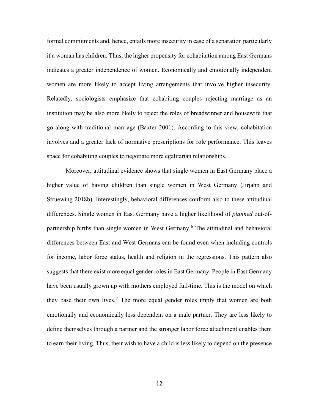formal commitments and, hence, entails more insecurity in case of a separation particularly if a woman has children. Thus, the higher propensity for cohabitation among East Germans indicates a greater independence of women. Economically and emotionally independent women are more likely to accept living arrangements that involve higher insecurity. Relatedly, sociologists emphasize that cohabiting couples rejecting marriage as an institution may be also more likely to reject the roles of breadwinner and housewife that go along with traditional marriage (Baxter 2001). According to this view, cohabitation involves and a greater lack of normative prescriptions for role performance. This leaves space for cohabiting couples to negotiate more egalitarian relationships.

Moreover, attitudinal evidence shows that single women in East Germany place a higher value of having children than single women in West Germany (Jirjahn and Struewing 2018b). Interestingly, behavioral differences conform also to these attitudinal differences. Single women in East Germany have a higher likelihood of *planned* out-of-partnership births than single women in West Germany.<sup>[6](#page-43-5)</sup> The attitudinal and behavioral differences between East and West Germans can be found even when including controls for income, labor force status, health and religion in the regressions. This pattern also suggests that there exist more equal gender roles in East Germany. People in East Germany have been usually grown up with mothers employed full-time. This is the model on which they base their own lives.<sup>[7](#page-43-6)</sup> The more equal gender roles imply that women are both emotionally and economically less dependent on a male partner. They are less likely to define themselves through a partner and the stronger labor force attachment enables them to earn their living. Thus, their wish to have a child is less likely to depend on the presence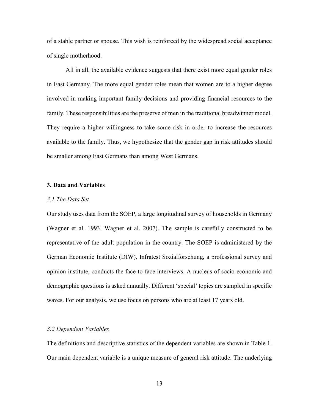of a stable partner or spouse. This wish is reinforced by the widespread social acceptance of single motherhood.

All in all, the available evidence suggests that there exist more equal gender roles in East Germany. The more equal gender roles mean that women are to a higher degree involved in making important family decisions and providing financial resources to the family. These responsibilities are the preserve of men in the traditional breadwinner model. They require a higher willingness to take some risk in order to increase the resources available to the family. Thus, we hypothesize that the gender gap in risk attitudes should be smaller among East Germans than among West Germans.

## **3. Data and Variables**

## *3.1 The Data Set*

Our study uses data from the SOEP, a large longitudinal survey of households in Germany (Wagner et al. 1993, Wagner et al. 2007). The sample is carefully constructed to be representative of the adult population in the country. The SOEP is administered by the German Economic Institute (DIW). Infratest Sozialforschung, a professional survey and opinion institute, conducts the face-to-face interviews. A nucleus of socio-economic and demographic questions is asked annually. Different 'special' topics are sampled in specific waves. For our analysis, we use focus on persons who are at least 17 years old.

#### *3.2 Dependent Variables*

The definitions and descriptive statistics of the dependent variables are shown in Table 1. Our main dependent variable is a unique measure of general risk attitude. The underlying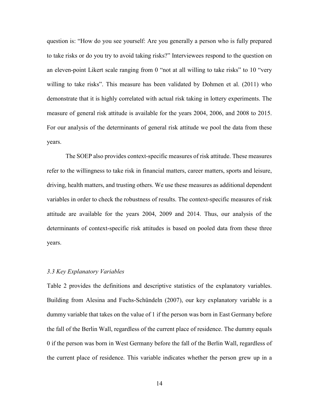question is: "How do you see yourself: Are you generally a person who is fully prepared to take risks or do you try to avoid taking risks?" Interviewees respond to the question on an eleven-point Likert scale ranging from 0 "not at all willing to take risks" to 10 "very willing to take risks". This measure has been validated by Dohmen et al. (2011) who demonstrate that it is highly correlated with actual risk taking in lottery experiments. The measure of general risk attitude is available for the years 2004, 2006, and 2008 to 2015. For our analysis of the determinants of general risk attitude we pool the data from these years.

The SOEP also provides context-specific measures of risk attitude. These measures refer to the willingness to take risk in financial matters, career matters, sports and leisure, driving, health matters, and trusting others. We use these measures as additional dependent variables in order to check the robustness of results. The context-specific measures of risk attitude are available for the years 2004, 2009 and 2014. Thus, our analysis of the determinants of context-specific risk attitudes is based on pooled data from these three years.

#### *3.3 Key Explanatory Variables*

Table 2 provides the definitions and descriptive statistics of the explanatory variables. Building from Alesina and Fuchs-Schündeln (2007), our key explanatory variable is a dummy variable that takes on the value of 1 if the person was born in East Germany before the fall of the Berlin Wall, regardless of the current place of residence. The dummy equals 0 if the person was born in West Germany before the fall of the Berlin Wall, regardless of the current place of residence. This variable indicates whether the person grew up in a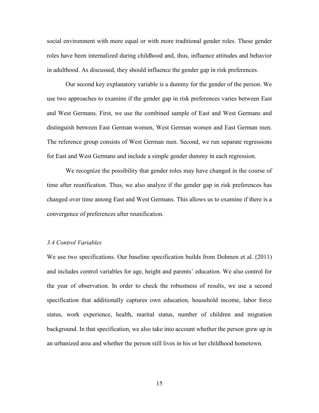social environment with more equal or with more traditional gender roles. These gender roles have been internalized during childhood and, thus, influence attitudes and behavior in adulthood. As discussed, they should influence the gender gap in risk preferences.

Our second key explanatory variable is a dummy for the gender of the person. We use two approaches to examine if the gender gap in risk preferences varies between East and West Germans. First, we use the combined sample of East and West Germans and distinguish between East German women, West German women and East German men. The reference group consists of West German men. Second, we run separate regressions for East and West Germans and include a simple gender dummy in each regression.

We recognize the possibility that gender roles may have changed in the course of time after reunification. Thus, we also analyze if the gender gap in risk preferences has changed over time among East and West Germans. This allows us to examine if there is a convergence of preferences after reunification.

### *3.4 Control Variables*

We use two specifications. Our baseline specification builds from Dohmen et al. (2011) and includes control variables for age, height and parents' education. We also control for the year of observation. In order to check the robustness of results, we use a second specification that additionally captures own education, household income, labor force status, work experience, health, marital status, number of children and migration background. In that specification, we also take into account whether the person grew up in an urbanized area and whether the person still lives in his or her childhood hometown.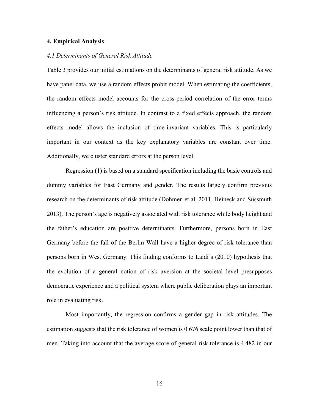## **4. Empirical Analysis**

## *4.1 Determinants of General Risk Attitude*

Table 3 provides our initial estimations on the determinants of general risk attitude. As we have panel data, we use a random effects probit model. When estimating the coefficients, the random effects model accounts for the cross-period correlation of the error terms influencing a person's risk attitude. In contrast to a fixed effects approach, the random effects model allows the inclusion of time-invariant variables. This is particularly important in our context as the key explanatory variables are constant over time. Additionally, we cluster standard errors at the person level.

Regression (1) is based on a standard specification including the basic controls and dummy variables for East Germany and gender. The results largely confirm previous research on the determinants of risk attitude (Dohmen et al. 2011, Heineck and Süssmuth 2013). The person's age is negatively associated with risk tolerance while body height and the father's education are positive determinants. Furthermore, persons born in East Germany before the fall of the Berlin Wall have a higher degree of risk tolerance than persons born in West Germany. This finding conforms to Laidi's (2010) hypothesis that the evolution of a general notion of risk aversion at the societal level presupposes democratic experience and a political system where public deliberation plays an important role in evaluating risk.

Most importantly, the regression confirms a gender gap in risk attitudes. The estimation suggests that the risk tolerance of women is 0.676 scale point lower than that of men. Taking into account that the average score of general risk tolerance is 4.482 in our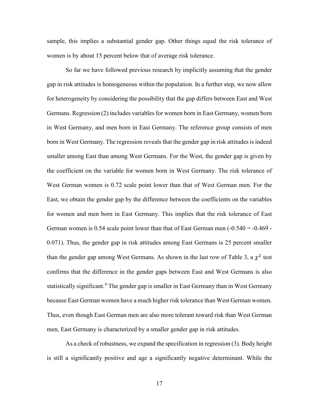sample, this implies a substantial gender gap. Other things equal the risk tolerance of women is by about 15 percent below that of average risk tolerance.

So far we have followed previous research by implicitly assuming that the gender gap in risk attitudes is homogeneous within the population. In a further step, we now allow for heterogeneity by considering the possibility that the gap differs between East and West Germans. Regression (2) includes variables for women born in East Germany, women born in West Germany, and men born in East Germany. The reference group consists of men born in West Germany. The regression reveals that the gender gap in risk attitudes is indeed smaller among East than among West Germans. For the West, the gender gap is given by the coefficient on the variable for women born in West Germany. The risk tolerance of West German women is 0.72 scale point lower than that of West German men. For the East, we obtain the gender gap by the difference between the coefficients on the variables for women and men born in East Germany. This implies that the risk tolerance of East German women is  $0.54$  scale point lower than that of East German men  $(-0.540 = -0.469 -$ 0.071). Thus, the gender gap in risk attitudes among East Germans is 25 percent smaller than the gender gap among West Germans. As shown in the last row of Table 3, a  $\chi^2$  test confirms that the difference in the gender gaps between East and West Germans is also statistically significant.<sup>[8](#page-44-0)</sup> The gender gap is smaller in East Germany than in West Germany because East German women have a much higher risk tolerance than West German women. Thus, even though East German men are also more tolerant toward risk than West German men, East Germany is characterized by a smaller gender gap in risk attitudes.

As a check of robustness, we expand the specification in regression (3). Body height is still a significantly positive and age a significantly negative determinant. While the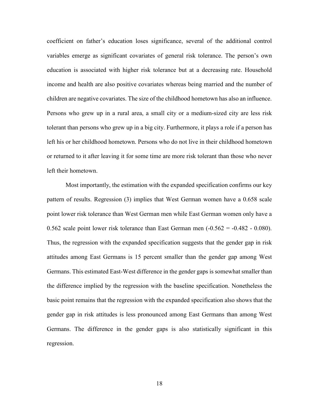coefficient on father's education loses significance, several of the additional control variables emerge as significant covariates of general risk tolerance. The person's own education is associated with higher risk tolerance but at a decreasing rate. Household income and health are also positive covariates whereas being married and the number of children are negative covariates. The size of the childhood hometown has also an influence. Persons who grew up in a rural area, a small city or a medium-sized city are less risk tolerant than persons who grew up in a big city. Furthermore, it plays a role if a person has left his or her childhood hometown. Persons who do not live in their childhood hometown or returned to it after leaving it for some time are more risk tolerant than those who never left their hometown.

Most importantly, the estimation with the expanded specification confirms our key pattern of results. Regression (3) implies that West German women have a 0.658 scale point lower risk tolerance than West German men while East German women only have a 0.562 scale point lower risk tolerance than East German men  $(-0.562 = -0.482 - 0.080)$ . Thus, the regression with the expanded specification suggests that the gender gap in risk attitudes among East Germans is 15 percent smaller than the gender gap among West Germans. This estimated East-West difference in the gender gaps is somewhat smaller than the difference implied by the regression with the baseline specification. Nonetheless the basic point remains that the regression with the expanded specification also shows that the gender gap in risk attitudes is less pronounced among East Germans than among West Germans. The difference in the gender gaps is also statistically significant in this regression.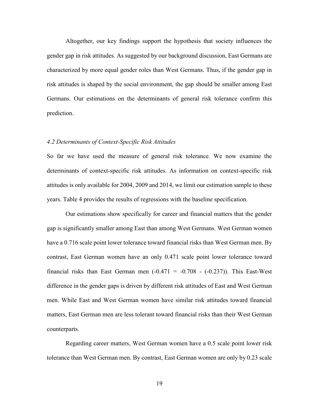Altogether, our key findings support the hypothesis that society influences the gender gap in risk attitudes. As suggested by our background discussion, East Germans are characterized by more equal gender roles than West Germans. Thus, if the gender gap in risk attitudes is shaped by the social environment, the gap should be smaller among East Germans. Our estimations on the determinants of general risk tolerance confirm this prediction.

#### *4.2 Determinants of Context-Specific Risk Attitudes*

So far we have used the measure of general risk tolerance. We now examine the determinants of context-specific risk attitudes. As information on context-specific risk attitudes is only available for 2004, 2009 and 2014, we limit our estimation sample to these years. Table 4 provides the results of regressions with the baseline specification.

Our estimations show specifically for career and financial matters that the gender gap is significantly smaller among East than among West Germans. West German women have a 0.716 scale point lower tolerance toward financial risks than West German men. By contrast, East German women have an only 0.471 scale point lower tolerance toward financial risks than East German men  $(-0.471 = -0.708 - (-0.237))$ . This East-West difference in the gender gaps is driven by different risk attitudes of East and West German men. While East and West German women have similar risk attitudes toward financial matters, East German men are less tolerant toward financial risks than their West German counterparts.

Regarding career matters, West German women have a 0.5 scale point lower risk tolerance than West German men. By contrast, East German women are only by 0.23 scale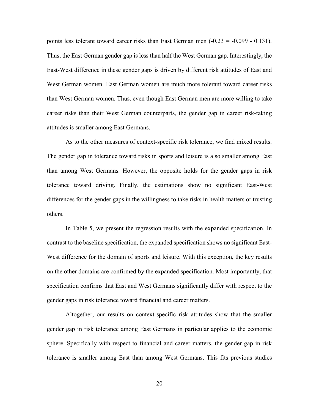points less tolerant toward career risks than East German men  $(-0.23 = -0.099 - 0.131)$ . Thus, the East German gender gap is less than half the West German gap. Interestingly, the East-West difference in these gender gaps is driven by different risk attitudes of East and West German women. East German women are much more tolerant toward career risks than West German women. Thus, even though East German men are more willing to take career risks than their West German counterparts, the gender gap in career risk-taking attitudes is smaller among East Germans.

As to the other measures of context-specific risk tolerance, we find mixed results. The gender gap in tolerance toward risks in sports and leisure is also smaller among East than among West Germans. However, the opposite holds for the gender gaps in risk tolerance toward driving. Finally, the estimations show no significant East-West differences for the gender gaps in the willingness to take risks in health matters or trusting others.

In Table 5, we present the regression results with the expanded specification. In contrast to the baseline specification, the expanded specification shows no significant East-West difference for the domain of sports and leisure. With this exception, the key results on the other domains are confirmed by the expanded specification. Most importantly, that specification confirms that East and West Germans significantly differ with respect to the gender gaps in risk tolerance toward financial and career matters.

Altogether, our results on context-specific risk attitudes show that the smaller gender gap in risk tolerance among East Germans in particular applies to the economic sphere. Specifically with respect to financial and career matters, the gender gap in risk tolerance is smaller among East than among West Germans. This fits previous studies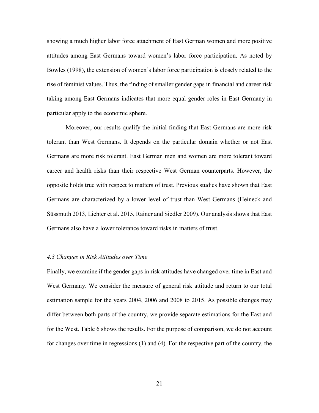showing a much higher labor force attachment of East German women and more positive attitudes among East Germans toward women's labor force participation. As noted by Bowles (1998), the extension of women's labor force participation is closely related to the rise of feminist values. Thus, the finding of smaller gender gaps in financial and career risk taking among East Germans indicates that more equal gender roles in East Germany in particular apply to the economic sphere.

Moreover, our results qualify the initial finding that East Germans are more risk tolerant than West Germans. It depends on the particular domain whether or not East Germans are more risk tolerant. East German men and women are more tolerant toward career and health risks than their respective West German counterparts. However, the opposite holds true with respect to matters of trust. Previous studies have shown that East Germans are characterized by a lower level of trust than West Germans (Heineck and Süssmuth 2013, Lichter et al. 2015, Rainer and Siedler 2009). Our analysis shows that East Germans also have a lower tolerance toward risks in matters of trust.

### *4.3 Changes in Risk Attitudes over Time*

Finally, we examine if the gender gaps in risk attitudes have changed over time in East and West Germany. We consider the measure of general risk attitude and return to our total estimation sample for the years 2004, 2006 and 2008 to 2015. As possible changes may differ between both parts of the country, we provide separate estimations for the East and for the West. Table 6 shows the results. For the purpose of comparison, we do not account for changes over time in regressions (1) and (4). For the respective part of the country, the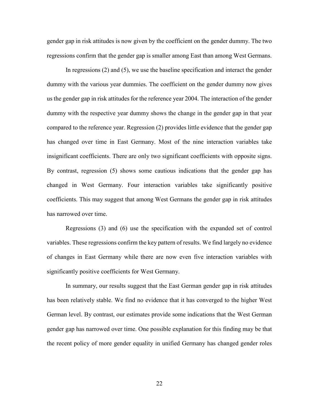gender gap in risk attitudes is now given by the coefficient on the gender dummy. The two regressions confirm that the gender gap is smaller among East than among West Germans.

In regressions (2) and (5), we use the baseline specification and interact the gender dummy with the various year dummies. The coefficient on the gender dummy now gives us the gender gap in risk attitudes for the reference year 2004. The interaction of the gender dummy with the respective year dummy shows the change in the gender gap in that year compared to the reference year. Regression (2) provides little evidence that the gender gap has changed over time in East Germany. Most of the nine interaction variables take insignificant coefficients. There are only two significant coefficients with opposite signs. By contrast, regression (5) shows some cautious indications that the gender gap has changed in West Germany. Four interaction variables take significantly positive coefficients. This may suggest that among West Germans the gender gap in risk attitudes has narrowed over time.

Regressions (3) and (6) use the specification with the expanded set of control variables. These regressions confirm the key pattern of results. We find largely no evidence of changes in East Germany while there are now even five interaction variables with significantly positive coefficients for West Germany.

In summary, our results suggest that the East German gender gap in risk attitudes has been relatively stable. We find no evidence that it has converged to the higher West German level. By contrast, our estimates provide some indications that the West German gender gap has narrowed over time. One possible explanation for this finding may be that the recent policy of more gender equality in unified Germany has changed gender roles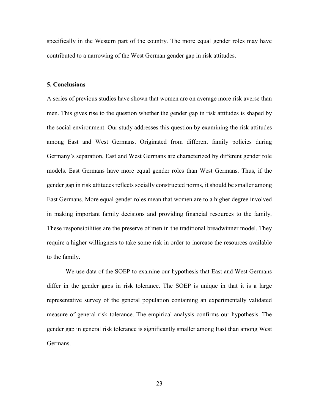specifically in the Western part of the country. The more equal gender roles may have contributed to a narrowing of the West German gender gap in risk attitudes.

#### **5. Conclusions**

A series of previous studies have shown that women are on average more risk averse than men. This gives rise to the question whether the gender gap in risk attitudes is shaped by the social environment. Our study addresses this question by examining the risk attitudes among East and West Germans. Originated from different family policies during Germany's separation, East and West Germans are characterized by different gender role models. East Germans have more equal gender roles than West Germans. Thus, if the gender gap in risk attitudes reflects socially constructed norms, it should be smaller among East Germans. More equal gender roles mean that women are to a higher degree involved in making important family decisions and providing financial resources to the family. These responsibilities are the preserve of men in the traditional breadwinner model. They require a higher willingness to take some risk in order to increase the resources available to the family.

We use data of the SOEP to examine our hypothesis that East and West Germans differ in the gender gaps in risk tolerance. The SOEP is unique in that it is a large representative survey of the general population containing an experimentally validated measure of general risk tolerance. The empirical analysis confirms our hypothesis. The gender gap in general risk tolerance is significantly smaller among East than among West Germans.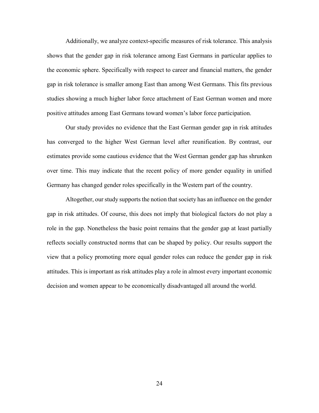Additionally, we analyze context-specific measures of risk tolerance. This analysis shows that the gender gap in risk tolerance among East Germans in particular applies to the economic sphere. Specifically with respect to career and financial matters, the gender gap in risk tolerance is smaller among East than among West Germans. This fits previous studies showing a much higher labor force attachment of East German women and more positive attitudes among East Germans toward women's labor force participation.

Our study provides no evidence that the East German gender gap in risk attitudes has converged to the higher West German level after reunification. By contrast, our estimates provide some cautious evidence that the West German gender gap has shrunken over time. This may indicate that the recent policy of more gender equality in unified Germany has changed gender roles specifically in the Western part of the country.

Altogether, our study supports the notion that society has an influence on the gender gap in risk attitudes. Of course, this does not imply that biological factors do not play a role in the gap. Nonetheless the basic point remains that the gender gap at least partially reflects socially constructed norms that can be shaped by policy. Our results support the view that a policy promoting more equal gender roles can reduce the gender gap in risk attitudes. This is important as risk attitudes play a role in almost every important economic decision and women appear to be economically disadvantaged all around the world.

24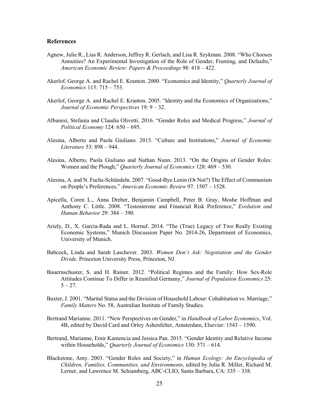### **References**

- Agnew, Julie R., Lias R. Anderson, Jeffrey R. Gerlach, and Lisa R. Szykman. 2008. "Who Chooses Annuities? An Experimental Investigation of the Role of Gender, Framing, and Defaults," *American Economic Review: Papers & Proceedings* 98: 418 – 422.
- Akerlof, George A. and Rachel E. Kranton. 2000. "Economics and Identity," *Quarterly Journal of Economics* 115: 715 – 753.
- Akerlof, George A. and Rachel E. Kranton. 2005. "Identity and the Economics of Organizations," *Journal of Economic Perspectives* 19: 9 – 32.
- Albanesi, Stefania and Claudia Olivetti. 2016. "Gender Roles and Medical Progress," *Journal of Political Economy* 124: 650 – 695.
- Alesina, Alberto and Paola Giuliano. 2015. "Culture and Institutions," *Journal of Economic Literature* 53: 898 – 944.
- Alesina, Alberto, Paola Giuliano and Nathan Nunn. 2013. "On the Origins of Gender Roles: Women and the Plough," *Quarterly Journal of Economics* 128: 469 – 530.
- Alesina, A. and N. Fuchs-Schündeln. 2007. "Good-Bye Lenin (Or Not?) The Effect of Communism on People's Preferences," *American Economic Review* 97: 1507 – 1528.
- Apicella, Coren L., Anna Dreber, Benjamin Campbell, Peter B. Gray, Moshe Hoffman and Anthony C. Little. 2008. "Testosterone and Financial Risk Preference," *Evolution and Human Behavior* 29: 384 – 390.
- Ariely, D., X. Garcia-Rada and L. Hornuf. 2014. "The (True) Legacy of Two Really Existing Economic Systems," Munich Discussion Paper No. 2014-26, Department of Economics, University of Munich.
- Babcock, Linda and Sarah Laschever. 2003. *Women Don't Ask: Negotiation and the Gender Divide*. Princeton University Press, Princeton, NJ.
- Bauernschuster, S. and H. Rainer. 2012. "Political Regimes and the Family: How Sex-Role Attitudes Continue To Differ in Reunified Germany," *Journal of Population Economics* 25:  $5 - 27.$
- Baxter, J. 2001. "Marital Status and the Division of Household Labour: Cohabitation vs. Marriage," *Family Matters* No. 58, Australian Institute of Family Studies.
- Bertrand Marianne. 2011. "New Perspectives on Gender," in *Handbook of Labor Economics*, Vol. 4B, edited by David Card and Orley Ashenfelter, Amsterdam, Elsevier: 1543 – 1590.
- Bertrand, Marianne, Emir Kamencia and Jessica Pan. 2015. "Gender Identity and Relative Income within Households," *Quarterly Journal of Economics* 130: 571 – 614.
- Blackstone, Amy. 2003. "Gender Roles and Society," in *Human Ecology: An Encyclopedia of Children, Families, Communities, and Environments*, edited by Julia R. Miller, Richard M. Lerner, and Lawrence M. Schiamberg, ABC-CLIO, Santa Barbara, CA: 335 – 338.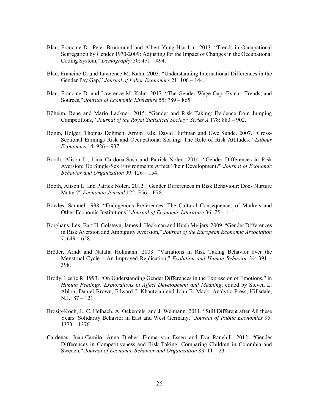- Blau, Francine D., Peter Brummund and Albert Yung-Hsu Liu. 2013. "Trends in Occupational Segregation by Gender 1970-2009: Adjusting for the Impact of Changes in the Occupational Coding System," *Demography* 50: 471 – 494.
- Blau, Francine D. and Lawrence M. Kahn. 2003. "Understanding International Differences in the Gender Pay Gap," *Journal of Labor Economics* 21: 106 – 144.
- Blau, Francine D. and Lawrence M. Kahn. 2017. "The Gender Wage Gap: Extent, Trends, and Sources," *Journal of Economic Literature* 55: 789 – 865.
- Böheim, Rene and Mario Lackner. 2015. "Gender and Risk Taking: Evidence from Jumping Competitions," *Journal of the Royal Statistical Society: Series A* 178: 883 – 902.
- Bonin, Holger, Thomas Dohmen, Armin Falk, David Huffman and Uwe Sunde. 2007. "Cross-Sectional Earnings Risk and Occupational Sorting: The Role of Risk Attitudes," *Labour Economics* 14: 926 – 937.
- Booth, Alison L., Lina Cardona-Sosa and Patrick Nolen. 2014. "Gender Differences in Risk Aversion: Do Single-Sex Environments Affect Their Development?" *Journal of Economic Behavior and Organization* 99: 126 – 154.
- Booth, Alison L. and Patrick Nolen. 2012. "Gender Differences in Risk Behaviour: Does Nurture Matter?" *Economic Journal* 122: F56 – F78.
- Bowles, Samuel 1998. "Endogenous Preferences: The Cultural Consequences of Markets and Other Economic Institutions," *Journal of Economic Literature* 36: 75 – 111.
- Borghans, Lex, Bart H. Golsteyn, James J. Heckman and Huub Meijers. 2009. "Gender Differences in Risk Aversion and Ambiguity Aversion," *Journal of the European Economic Association*   $7:649-658.$
- Bröder, Arndt and Natalia Hohmann. 2003. "Variations in Risk Taking Behavior over the Menstrual Cycle – An Improved Replication," *Evolution and Human Behavior* 24: 391 – 398.
- Brody, Leslie R. 1993. "On Understanding Gender Differences in the Expression of Emotions," in *Human Feelings: Explorations in Affect Development and Meaning*, edited by Steven L. Ablon, Daniel Brown, Edward J. Khantzian and John E. Mack, Analytic Press, Hillsdale, N.J.: 87 – 121.
- Brosig-Koch, J., C. Helbach, A. Ockenfels, and J. Weimann. 2011. "Still Different after All these Years: Solidarity Behavior in East and West Germany," *Journal of Public Economics* 95: 1373 – 1376.
- Cardenas, Juan-Camilo, Anna Dreber, Emma von Essen and Eva Ranehill. 2012. "Gender Differences in Competitiveness and Risk Taking: Comparing Children in Colombia and Sweden," *Journal of Economic Behavior and Organization* 83: 11 – 23.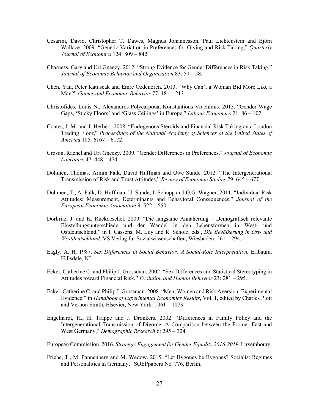- Cesarini, David, Christopher T. Dawes, Magnus Johannesson, Paul Lichtenstein and Björn Wallace. 2009. "Genetic Variation in Preferences for Giving and Risk Taking," *Quarterly Journal of Economics* 124: 809 – 842.
- Charness, Gary and Uri Gneezy. 2012. "Strong Evidence for Gender Differences in Risk Taking," *Journal of Economic Behavior and Organization* 83: 50 – 58.
- Chen, Yan, Peter Katuscak and Emre Ozdenoren. 2013. "Why Can't a Woman Bid More Like a Man?" *Games and Economic Behavior* 77: 181 – 213.
- Christofides, Louis N., Alexandros Polycarpoua, Konstantions Vrachimis. 2013. "Gender Wage Gaps, 'Sticky Floors' and 'Glass Ceilings' in Europe," *Labour Economics* 21: 86 – 102.
- Coates, J. M. and J. Herbert. 2008. "Endogenous Steroids and Financial Risk Taking on a London Trading Floor," *Proceedings of the National Academy of Sciences of the United States of America* 105: 6167 – 6172.
- Croson, Rachel and Uri Gneezy. 2009. "Gender Differences in Preferences," *Journal of Economic Literature* 47: 448 – 474.
- Dohmen, Thomas, Armin Falk, David Huffman and Uwe Sunde. 2012. "The Intergenerational Transmission of Risk and Trust Attitudes," *Review of Economic Studies* 79: 645 – 677.
- Dohmen, T., A. Falk, D. Huffman, U. Sunde, J. Schupp and G.G. Wagner. 2011. "Individual Risk Attitudes: Measurement, Determinants and Behavioral Consequences," *Journal of the European Economic Association* 9: 522 – 550.
- Dorbritz, J. and K. Ruckdeschel. 2009. "Die langsame Annäherung Demografisch relevante Einstellungsunterschiede und der Wandel in den Lebensformen in West- und Ostdeutschland," in I. Cassens, M. Luy and R. Scholz, eds., *Die Bevölkerung in Ost- und Westdeutschland*. VS Verlag für Sozialwissenschaften, Wiesbaden: 261 – 294.
- Eagly, A. H. 1987. *Sex Differences in Social Behavior: A Social-Role Interpretation.* Erlbaum, Hillsdale, NJ.
- Eckel, Catherine C. and Philip J. Grossman. 2002. "Sex Differences and Statistical Stereotyping in Attitudes toward Financial Risk," *Evolution and Human Behavior* 23: 281 – 295.
- Eckel, Catherine C. and Philip J. Grossman. 2008. "Men, Women and Risk Aversion: Experimental Evidence," in *Handbook of Experimental Economics Results*, Vol. 1, edited by Charles Plott and Vernon Smith, Elsevier, New York: 1061 – 1073.
- Engelhardt, H., H. Trappe and J. Dronkers. 2002. "Differences in Family Policy and the Intergenerational Transmission of Divorce: A Comparison between the Former East and West Germany," *Demographic Research* 6: 295 – 324.
- European Commission. 2016. *Strategic Engagement for Gender Equality 2016-2019*. Luxembourg.
- Friehe, T., M. Pannenberg and M. Wedow. 2015. "Let Bygones be Bygones? Socialist Regimes and Personalities in Germany," SOEPpapers No. 776, Berlin.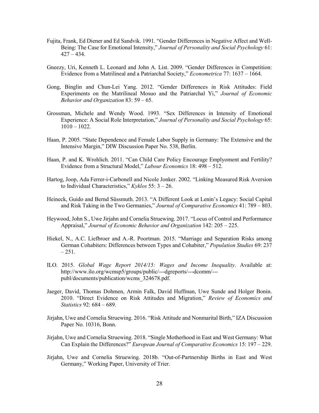- Fujita, Frank, Ed Diener and Ed Sandvik. 1991. "Gender Differences in Negative Affect and Well-Being: The Case for Emotional Intensity," *Journal of Personality and Social Psychology* 61:  $427 - 434.$
- Gneezy, Uri, Kenneth L. Leonard and John A. List. 2009. "Gender Differences in Competition: Evidence from a Matrilineal and a Patriarchal Society," *Econometrica* 77: 1637 – 1664.
- Gong, Binglin and Chun-Lei Yang. 2012. "Gender Differences in Risk Attitudes: Field Experiments on the Matrilineal Mosuo and the Patriarchal Yi," *Journal of Economic Behavior and Organization* 83: 59 – 65.
- Grossman, Michele and Wendy Wood. 1993. "Sex Differences in Intensity of Emotional Experience: A Social Role Interpretation," *Journal of Personality and Social Psychology* 65:  $1010 - 1022$ .
- Haan, P. 2005. "State Dependence and Female Labor Supply in Germany: The Extensive and the Intensive Margin," DIW Discussion Paper No. 538, Berlin.
- Haan, P. and K. Wrohlich. 2011. "Can Child Care Policy Encourage Emplyoment and Fertility? Evidence from a Structural Model," *Labour Economics* 18: 498 – 512.
- Hartog, Joop, Ada Ferrer-i-Carbonell and Nicole Jonker. 2002. "Linking Measured Risk Aversion to Individual Characteristics," *Kyklos* 55: 3 – 26.
- Heineck, Guido and Bernd Süssmuth. 2013. "A Different Look at Lenin's Legacy: Social Capital and Risk Taking in the Two Germanies," *Journal of Comparative Economics* 41: 789 – 803.
- Heywood, John S., Uwe Jirjahn and Cornelia Struewing. 2017. "Locus of Control and Performance Appraisal," *Journal of Economic Behavior and Organization* 142: 205 – 225.
- Hiekel, N., A.C. Liefbroer and A.-R. Poortman. 2015. "Marriage and Separation Risks among German Cohabiters: Differences between Types and Cohabiter," *Population Studies* 69: 237  $-251.$
- ILO. 2015. *Global Wage Report 2014/15: Wages and Income Inequality*. Available at: http://www.ilo.org/wcmsp5/groups/public/---dgreports/---dcomm/-- publ/documents/publication/wcms\_324678.pdf.
- Jaeger, David, Thomas Dohmen, Armin Falk, David Huffman, Uwe Sunde and Holger Bonin. 2010. "Direct Evidence on Risk Attitudes and Migration," *Review of Economics and Statistics* 92: 684 – 689.
- Jirjahn, Uwe and Cornelia Struewing. 2016. "Risk Attitude and Nonmarital Birth," IZA Discussion Paper No. 10316, Bonn.
- Jirjahn, Uwe and Cornelia Struewing. 2018. "Single Motherhood in East and West Germany: What Can Explain the Differences?" *European Journal of Comparative Economics* 15: 197 – 229.
- Jirjahn, Uwe and Cornelia Struewing. 2018b. "Out-of-Partnership Births in East and West Germany," Working Paper, University of Trier.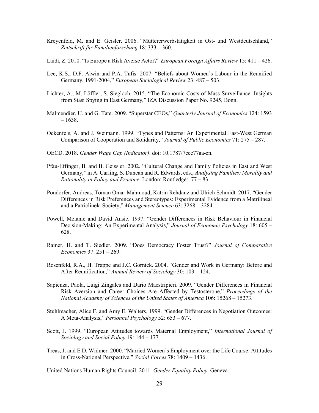- Kreyenfeld, M. and E. Geisler. 2006. "Müttererwerbstätigkeit in Ost- und Westdeutschland," *Zeitschrift für Familienforschung* 18: 333 – 360.
- Laidi, Z. 2010. "Is Europe a Risk Averse Actor?" *European Foreign Affairs Review* 15: 411 426.
- Lee, K.S., D.F. Alwin and P.A. Tufis. 2007. "Beliefs about Women's Labour in the Reunified Germany, 1991-2004," *European Sociological Review* 23: 487 – 503.
- Lichter, A., M. Löffler, S. Siegloch. 2015. "The Economic Costs of Mass Surveillance: Insights from Stasi Spying in East Germany," IZA Discussion Paper No. 9245, Bonn.
- Malmendier, U. and G. Tate. 2009. "Superstar CEOs," *Quarterly Journal of Economics* 124: 1593 – 1638.
- Ockenfels, A. and J. Weimann. 1999. "Types and Patterns: An Experimental East-West German Comparison of Cooperation and Solidarity," *Journal of Public Economics* 71: 275 – 287.
- OECD. 2018. *Gender Wage Gap (Indicator)*. doi: 10.1787/7cee77aa-en.
- Pfau-Effinger, B. and B. Geissler. 2002. "Cultural Change and Family Policies in East and West Germany," in A. Carling, S. Duncan and R. Edwards, eds., *Analysing Families: Morality and Rationality in Policy and Practice*. London: Routledge: 77 – 83.
- Pondorfer, Andreas, Toman Omar Mahmoud, Katrin Rehdanz and Ulrich Schmidt. 2017. "Gender Differences in Risk Preferences and Stereotypes: Experimental Evidence from a Matrilineal and a Patriclinela Society," *Management Science* 63: 3268 – 3284.
- Powell, Melanie and David Ansic. 1997. "Gender Differences in Risk Behaviour in Financial Decision-Making: An Experimental Analysis," *Journal of Economic Psychology* 18: 605 – 628.
- Rainer, H. and T. Siedler. 2009. "Does Democracy Foster Trust?" *Journal of Comparative Economics* 37: 251 – 269.
- Rosenfeld, R.A., H. Trappe and J.C. Gornick. 2004. "Gender and Work in Germany: Before and After Reunification," *Annual Review of Sociology* 30: 103 – 124.
- Sapienza, Paola, Luigi Zingales and Dario Maestripieri. 2009. "Gender Differences in Financial Risk Aversion and Career Choices Are Affected by Testosterone," *Proceedings of the National Academy of Sciences of the United States of America* 106: 15268 – 15273.
- Stuhlmacher, Alice F. and Amy E. Walters. 1999. "Gender Differences in Negotiation Outcomes: A Meta-Analysis," *Personnel Psychology* 52: 653 – 677.
- Scott, J. 1999. "European Attitudes towards Maternal Employment," *International Journal of Sociology and Social Policy* 19: 144 – 177.
- Treas, J. and E.D. Widmer. 2000. "Married Women's Employment over the Life Course: Attitudes in Cross-National Perspective," *Social Forces* 78: 1409 – 1436.

United Nations Human Rights Council. 2011. *Gender Equality Policy*. Geneva.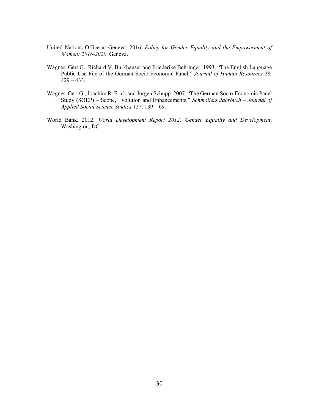- United Nations Office at Geneva. 2016. *Policy for Gender Equality and the Empowerment of Women: 2016-2020*. Geneva.
- Wagner, Gert G., Richard V. Burkhauser and Friederike Behringer. 1993. "The English Language Public Use File of the German Socio-Economic Panel," *Journal of Human Resources* 28: 429 – 433.
- Wagner, Gert G., Joachim R. Frick and Jürgen Schupp. 2007. "The German Socio-Economic Panel Study (SOEP) – Scope, Evolution and Enhancements," *Schmollers Jahrbuch – Journal of Applied Social Science Studies* 127: 139 – 69.
- World Bank. 2012. *World Development Report 2012: Gender Equality and Development*. Washington, DC.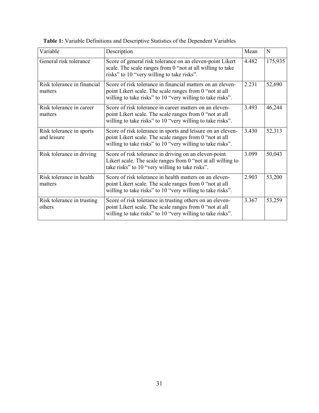| Variable                                | Description                                                                                                                                                                          | Mean  | N       |
|-----------------------------------------|--------------------------------------------------------------------------------------------------------------------------------------------------------------------------------------|-------|---------|
| General risk tolerance                  | Score of general risk tolerance on an eleven-point Likert<br>scale. The scale ranges from 0 "not at all willing to take<br>risks" to 10 "very willing to take risks".                | 4.482 | 175,935 |
| Risk tolerance in financial<br>matters  | Score of risk tolerance in financial matters on an eleven-<br>point Likert scale. The scale ranges from 0 "not at all<br>willing to take risks" to 10 "very willing to take risks".  | 2.231 | 52,690  |
| Risk tolerance in career<br>matters     | Score of risk tolerance in career matters on an eleven-<br>point Likert scale. The scale ranges from 0 "not at all<br>willing to take risks" to 10 "very willing to take risks".     | 3.493 | 46,244  |
| Risk tolerance in sports<br>and leisure | Score of risk tolerance in sports and leisure on an eleven-<br>point Likert scale. The scale ranges from 0 "not at all<br>willing to take risks" to 10 "very willing to take risks". | 3.430 | 52,313  |
| Risk tolerance in driving               | Score of risk tolerance in driving on an eleven-point<br>Likert scale. The scale ranges from $0$ "not at all willing to<br>take risks" to 10 "very willing to take risks".           | 3.099 | 50,043  |
| Risk tolerance in health<br>matters     | Score of risk tolerance in health matters on an eleven-<br>point Likert scale. The scale ranges from 0 "not at all<br>willing to take risks" to 10 "very willing to take risks".     | 2.903 | 53,200  |
| Risk tolerance in trusting<br>others    | Score of risk tolerance in trusting others on an eleven-<br>point Likert scale. The scale ranges from 0 "not at all<br>willing to take risks" to 10 "very willing to take risks".    | 3.367 | 53,259  |

**Table 1:** Variable Definitions and Descriptive Statistics of the Dependent Variables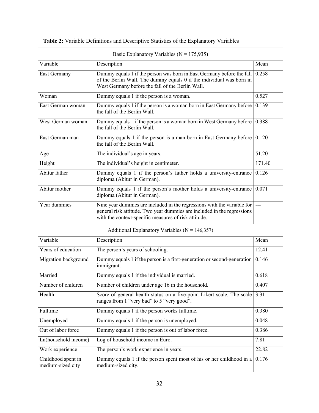| Basic Explanatory Variables ( $N = 175,935$ )                                                                                                                                                                              |                                                                                                                                                                                                                       |        |  |  |  |
|----------------------------------------------------------------------------------------------------------------------------------------------------------------------------------------------------------------------------|-----------------------------------------------------------------------------------------------------------------------------------------------------------------------------------------------------------------------|--------|--|--|--|
| Variable                                                                                                                                                                                                                   | Description                                                                                                                                                                                                           | Mean   |  |  |  |
| East Germany                                                                                                                                                                                                               | Dummy equals 1 if the person was born in East Germany before the fall $\vert 0.258 \vert$<br>of the Berlin Wall. The dummy equals 0 if the individual was born in<br>West Germany before the fall of the Berlin Wall. |        |  |  |  |
| Woman                                                                                                                                                                                                                      | Dummy equals 1 if the person is a woman.                                                                                                                                                                              | 0.527  |  |  |  |
| East German woman                                                                                                                                                                                                          | Dummy equals 1 if the person is a woman born in East Germany before<br>the fall of the Berlin Wall.                                                                                                                   | 0.139  |  |  |  |
| West German woman                                                                                                                                                                                                          | Dummy equals 1 if the person is a woman born in West Germany before<br>the fall of the Berlin Wall.                                                                                                                   | 0.388  |  |  |  |
| East German man                                                                                                                                                                                                            | Dummy equals 1 if the person is a man born in East Germany before $\vert 0.120 \rangle$<br>the fall of the Berlin Wall.                                                                                               |        |  |  |  |
| Age                                                                                                                                                                                                                        | The individual's age in years.                                                                                                                                                                                        | 51.20  |  |  |  |
| Height                                                                                                                                                                                                                     | The individual's height in centimeter.                                                                                                                                                                                | 171.40 |  |  |  |
| Abitur father                                                                                                                                                                                                              | Dummy equals 1 if the person's father holds a university-entrance<br>diploma (Abitur in German).                                                                                                                      | 0.126  |  |  |  |
| Abitur mother                                                                                                                                                                                                              | Dummy equals 1 if the person's mother holds a university-entrance $(0.071)$<br>diploma (Abitur in German).                                                                                                            |        |  |  |  |
| Year dummies<br>Nine year dummies are included in the regressions with the variable for<br>general risk attitude. Two year dummies are included in the regressions<br>with the context-specific measures of risk attitude. |                                                                                                                                                                                                                       |        |  |  |  |
|                                                                                                                                                                                                                            | Additional Explanatory Variables ( $N = 146,357$ )                                                                                                                                                                    |        |  |  |  |
| Variable                                                                                                                                                                                                                   | Description                                                                                                                                                                                                           | Mean   |  |  |  |
| Years of education                                                                                                                                                                                                         | The person's years of schooling.                                                                                                                                                                                      | 12.41  |  |  |  |
| Migration background                                                                                                                                                                                                       | Dummy equals 1 if the person is a first-generation or second-generation<br>immigrant.                                                                                                                                 | 0.146  |  |  |  |
| Married                                                                                                                                                                                                                    | Dummy equals 1 if the individual is married.                                                                                                                                                                          | 0.618  |  |  |  |
| Number of children                                                                                                                                                                                                         | Number of children under age 16 in the household.                                                                                                                                                                     | 0.407  |  |  |  |
| Health                                                                                                                                                                                                                     | Score of general health status on a five-point Likert scale. The scale<br>ranges from 1 "very bad" to 5 "very good".                                                                                                  | 3.31   |  |  |  |
| Fulltime                                                                                                                                                                                                                   | Dummy equals 1 if the person works fulltime.                                                                                                                                                                          | 0.380  |  |  |  |
| Unemployed                                                                                                                                                                                                                 | Dummy equals 1 if the person is unemployed.                                                                                                                                                                           | 0.048  |  |  |  |
| Out of labor force                                                                                                                                                                                                         | Dummy equals 1 if the person is out of labor force.                                                                                                                                                                   | 0.386  |  |  |  |
| Ln(household income)                                                                                                                                                                                                       | Log of household income in Euro.                                                                                                                                                                                      | 7.81   |  |  |  |
| Work experience                                                                                                                                                                                                            | The person's work experience in years.                                                                                                                                                                                | 22.82  |  |  |  |
| Childhood spent in<br>medium-sized city                                                                                                                                                                                    | Dummy equals 1 if the person spent most of his or her childhood in a<br>medium-sized city.                                                                                                                            | 0.176  |  |  |  |

**Table 2:** Variable Definitions and Descriptive Statistics of the Explanatory Variables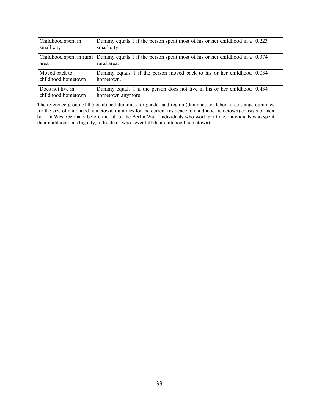| Childhood spent in<br>small city       | Dummy equals 1 if the person spent most of his or her childhood in a $(0.223)$<br>small city.                          |  |
|----------------------------------------|------------------------------------------------------------------------------------------------------------------------|--|
| area                                   | Childhood spent in rural Dummy equals 1 if the person spent most of his or her childhood in a $(0.374)$<br>rural area. |  |
| Moved back to<br>childhood hometown    | Dummy equals 1 if the person moved back to his or her childhood $(0.034)$<br>hometown.                                 |  |
| Does not live in<br>childhood hometown | Dummy equals 1 if the person does not live in his or her childhood $(0.434)$<br>hometown anymore.                      |  |

The reference group of the combined dummies for gender and region (dummies for labor force status, dummies for the size of childhood hometown, dummies for the current residence in childhood hometown) consists of men born in West Germany before the fall of the Berlin Wall (individuals who work parttime, individuals who spent their childhood in a big city, individuals who never left their childhood hometown).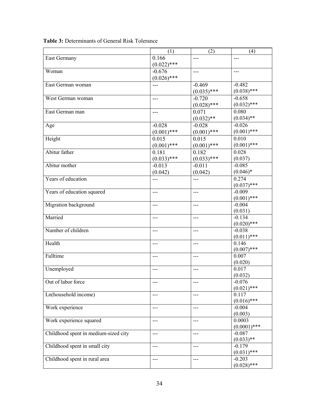|                                      | (1)           | (2)           | (4)                    |
|--------------------------------------|---------------|---------------|------------------------|
| East Germany                         | 0.166         | ---           | $---$                  |
|                                      | $(0.022)$ *** |               |                        |
| Woman                                | $-0.676$      | $---$         | $---$                  |
|                                      | $(0.026)$ *** |               |                        |
| East German woman                    | ---           | $-0.469$      | $-0.482$               |
|                                      |               | $(0.035)$ *** | $(0.038)$ ***          |
| West German woman                    | $---$         | $-0.720$      | $-0.658$               |
|                                      |               | $(0.028)$ *** | $(0.032)$ ***          |
| East German man                      | ---           | 0.071         | 0.080                  |
|                                      |               | $(0.032)$ **  | $(0.034)$ **           |
| Age                                  | $-0.028$      | $-0.028$      | $-0.026$               |
|                                      | $(0.001)$ *** | $(0.001)$ *** | $(0.001)$ ***          |
| Height                               | 0.015         | 0.015         | 0.010                  |
|                                      | $(0.001)$ *** | $(0.001)$ *** | $(0.001)$ ***          |
| Abitur father                        | 0.181         | 0.182         | 0.028                  |
|                                      | $(0.033)$ *** | $(0.033)$ *** | (0.037)                |
| Abitur mother                        | $-0.013$      | $-0.011$      | $-0.085$               |
|                                      | (0.042)       | (0.042)       | $(0.046)*$             |
| Years of education                   | $---$         | $---$         | 0.274                  |
|                                      |               |               | $(0.037)$ ***          |
| Years of education squared           | $---$         | $---$         | $-0.009$               |
|                                      |               |               | $(0.001)$ ***          |
| Migration background                 | $---$         | $---$         | $-0.004$               |
|                                      |               |               | (0.031)                |
| Married                              | $---$         | $---$         | $-0.134$               |
|                                      |               |               | $(0.020)$ ***          |
| Number of children                   | $---$         | $---$         | $-0.038$               |
|                                      |               |               | $(0.011)$ ***          |
| Health                               | $---$         | $---$         | 0.146                  |
| Fulltime                             |               |               | $(0.007)$ ***<br>0.007 |
|                                      | $---$         | $---$         | (0.020)                |
| Unemployed                           | $---$         | $---$         | 0.017                  |
|                                      |               |               | (0.032)                |
| Out of labor force                   |               |               | $-0.076$               |
|                                      |               |               | $(0.021)$ ***          |
| Ln(household income)                 | $---$         | $---$         | 0.117                  |
|                                      |               |               | $(0.016)$ ***          |
| Work experience                      | $---$         | $---$         | $-0.004$               |
|                                      |               |               | (0.003)                |
| Work experience squared              | $---$         | $---$         | 0.0003                 |
|                                      |               |               | $(0.0001)$ ***         |
| Childhood spent in medium-sized city | $---$         | $---$         | $-0.087$               |
|                                      |               |               | $(0.033)$ **           |
| Childhood spent in small city        | $---$         | $---$         | $-0.179$               |
|                                      |               |               | $(0.031)$ ***          |
| Childhood spent in rural area        | $---$         | $---$         | $-0.203$               |
|                                      |               |               | $(0.028)$ ***          |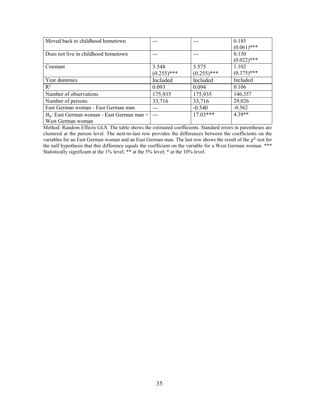| Moved back to childhood hometown              |               |               | 0.185         |
|-----------------------------------------------|---------------|---------------|---------------|
|                                               |               |               | $(0.061)$ *** |
| Does not live in childhood hometown           |               |               | 0.130         |
|                                               |               |               | $(0.022)$ *** |
| Constant                                      | 3.548         | 3.575         | 1.102         |
|                                               | $(0.255)$ *** | $(0.255)$ *** | $(0.375)$ *** |
| Year dummies                                  | Included      | Included      | Included      |
| $R^2$                                         | 0.093         | 0.094         | 0.106         |
| Number of observations                        | 175,935       | 175,935       | 146,357       |
| Number of persons                             | 33,716        | 33,716        | 29,026        |
| East German woman - East German man           |               | $-0.540$      | $-0.562$      |
| $H_0$ : East German woman - East German man = |               | $17.03***$    | $4.39**$      |
| West German woman                             |               |               |               |

Method: Random Effects GLS. The table shows the estimated coefficients. Standard errors in parentheses are clustered at the person level. The next-to-last row provides the differences between the coefficients on the variables for an East German woman and an East German man. The last row shows the result of the  $\chi^2$  test for the null hypothesis that this difference equals the coefficient on the variable for a West German woman. \*\*\* Statistically significant at the 1% level; \*\* at the 5% level; \* at the 10% level.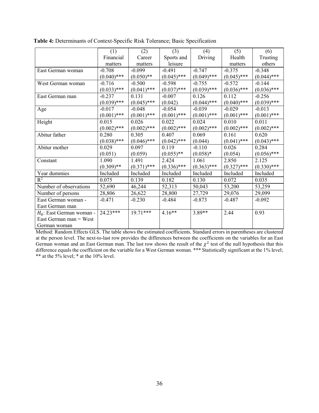|                             | (1)           | (2)           | (3)           | (4)           | (5)           | (6)           |
|-----------------------------|---------------|---------------|---------------|---------------|---------------|---------------|
|                             | Financial     | Career        | Sports and    | Driving       | Health        | Trusting      |
|                             | matters       | matters       | leisure       |               | matters       | others        |
| East German woman           | $-0.708$      | $-0.099$      | $-0.491$      | $-0.747$      | $-0.375$      | $-0.348$      |
|                             | $(0.040)$ *** | $(0.050)$ **  | $(0.045)$ *** | $(0.049)$ *** | $(0.045)$ *** | $(0.044)$ *** |
| West German woman           | $-0.716$      | $-0.500$      | $-0.598$      | $-0.755$      | $-0.572$      | $-0.144$      |
|                             | $(0.033)$ *** | $(0.041)$ *** | $(0.037)$ *** | $(0.039)$ *** | $(0.036)$ *** | $(0.036)$ *** |
| East German man             | $-0.237$      | 0.131         | $-0.007$      | 0.126         | 0.112         | $-0.256$      |
|                             | $(0.039)$ *** | $(0.045)$ *** | (0.042)       | $(0.044)$ *** | $(0.040)$ *** | $(0.039)$ *** |
| Age                         | $-0.017$      | $-0.048$      | $-0.054$      | $-0.039$      | $-0.029$      | $-0.013$      |
|                             | $(0.001)$ *** | $(0.001)$ *** | $(0.001)$ *** | $(0.001)$ *** | $(0.001)$ *** | $(0.001)$ *** |
| Height                      | 0.015         | 0.026         | 0.022         | 0.024         | 0.010         | 0.011         |
|                             | $(0.002)$ *** | $(0.002)$ *** | $(0.002)$ *** | $(0.002)$ *** | $(0.002)$ *** | $(0.002)$ *** |
| Abitur father               | 0.280         | 0.305         | 0.407         | 0.069         | 0.161         | 0.620         |
|                             | $(0.038)$ *** | $(0.046)$ *** | $(0.042)$ *** | (0.044)       | $(0.041)$ *** | $(0.043)$ *** |
| Abitur mother               | 0.029         | 0.097         | 0.119         | $-0.110$      | 0.026         | 0.284         |
|                             | (0.051)       | (0.059)       | $(0.055)$ **  | $(0.058)*$    | (0.054)       | $(0.056)$ *** |
| Constant                    | 1.090         | 1.491         | 2.424         | 1.061         | 2.850         | 2.125         |
|                             | $(0.309)$ **  | $(0.371)$ *** | $(0.336)$ *** | $(0.363)$ *** | $(0.327)$ *** | $(0.330)$ *** |
| Year dummies                | Included      | Included      | Included      | Included      | Included      | Included      |
| $R^2$                       | 0.075         | 0.139         | 0.182         | 0.130         | 0.072         | 0.035         |
| Number of observations      | 52,690        | 46,244        | 52,313        | 50,043        | 53,200        | 53,259        |
| Number of persons           | 28,806        | 26,622        | 28,800        | 27,729        | 29,076        | 29,099        |
| East German woman -         | $-0.471$      | $-0.230$      | $-0.484$      | $-0.873$      | $-0.487$      | $-0.092$      |
| East German man             |               |               |               |               |               |               |
| $H_0$ : East German woman - | $24.23***$    | $19.71***$    | $4.16**$      | $3.89**$      | 2.44          | 0.93          |
| East German man $=$ West    |               |               |               |               |               |               |
| German woman                |               |               |               |               |               |               |

**Table 4:** Determinants of Context-Specific Risk Tolerance; Basic Specification

Method: Random Effects GLS. The table shows the estimated coefficients. Standard errors in parentheses are clustered at the person level. The next-to-last row provides the differences between the coefficients on the variables for an East German woman and an East German man. The last row shows the result of the  $\chi^2$  test of the null hypothesis that this difference equals the coefficient on the variable for a West German woman. \*\*\* Statistically significant at the 1% level; \*\* at the 5% level; \* at the  $10\%$  level.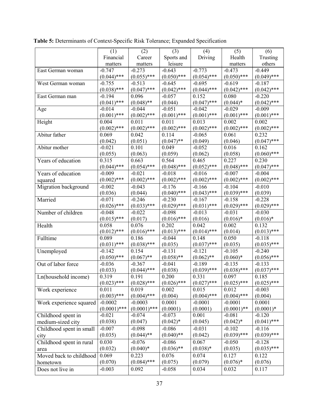|                          | (1)            | (2)            | (3)           | (4)           | (5)           | (6)           |
|--------------------------|----------------|----------------|---------------|---------------|---------------|---------------|
|                          | Financial      | Career         | Sports and    | Driving       | Health        | Trusting      |
|                          | matters        | matters        | leisure       |               | matters       | others        |
| East German woman        | $-0.747$       | $-0.273$       | $-0.643$      | $-0.773$      | $-0.473$      | $-0.449$      |
|                          | $(0.044)$ ***  | $(0.055)$ ***  | $(0.050)$ *** | $(0.054)$ *** | $(0.050)$ *** | $(0.049)$ *** |
| West German woman        | $-0.755$       | $-0.513$       | $-0.645$      | $-0.695$      | $-0.619$      | $-0.187$      |
|                          | $(0.038)$ ***  | $(0.047)$ ***  | $(0.042)$ *** | $(0.044)$ *** | $(0.042)$ *** | $(0.042)$ *** |
| East German man          | $-0.194$       | 0.096          | $-0.057$      | 0.152         | 0.080         | $-0.220$      |
|                          | $(0.041)$ ***  | $(0.048)$ **   | (0.044)       | $(0.047)$ *** | $(0.044)*$    | $(0.042)$ *** |
| Age                      | $-0.014$       | $-0.044$       | $-0.051$      | $-0.042$      | $-0.029$      | $-0.009$      |
|                          | $(0.001)$ ***  | $(0.002)$ ***  | $(0.001)$ *** | $(0.001)$ *** | $(0.001)$ *** | $(0.001)$ *** |
| Height                   | 0.004          | 0.011          | 0.011         | 0.013         | 0.002         | 0.002         |
|                          | $(0.002)$ ***  | $(0.002)$ ***  | $(0.002)$ *** | $(0.002)$ *** | $(0.002)$ *** | $(0.002)$ *** |
| Abitur father            | 0.069          | 0.042          | 0.114         | $-0.065$      | 0.061         | 0.232         |
|                          | (0.042)        | (0.051)        | $(0.047)$ **  | (0.049)       | (0.046)       | $(0.047)$ *** |
| Abitur mother            | $-0.021$       | 0.101          | 0.049         | $-0.052$      | 0.016         | 0.162         |
|                          | (0.055)        | (0.063)        | (0.059)       | (0.062)       | (0.058)       | $(0.060)$ *** |
| Years of education       | 0.315          | 0.663          | 0.564         | 0.465         | 0.227         | 0.230         |
|                          | $(0.044)$ ***  | $(0.054)$ ***  | $(0.048)$ *** | $(0.052)$ *** | $(0.048)$ *** | $(0.047)$ *** |
| Years of education       | $-0.009$       | $-0.021$       | $-0.018$      | $-0.016$      | $-0.007$      | $-0.004$      |
| squared                  | $(0.002)$ ***  | $(0.002)$ ***  | $(0.002)$ *** | $(0.002)$ *** | $(0.002)$ *** | $(0.002)$ *** |
| Migration background     | $-0.002$       | $-0.043$       | $-0.176$      | $-0.166$      | $-0.104$      | $-0.010$      |
|                          | (0.036)        | (0.044)        | $(0.040)$ *** | $(0.043)$ *** | $(0.039)$ *** | (0.039)       |
| Married                  | $-0.071$       | $-0.246$       | $-0.230$      | $-0.167$      | $-0.158$      | $-0.228$      |
|                          | $(0.026)$ ***  | $(0.033)$ ***  | $(0.029)$ *** | $(0.031)$ *** | $(0.029)$ *** | $(0.029)$ *** |
| Number of children       | $-0.048$       | $-0.022$       | $-0.098$      | $-0.013$      | $-0.031$      | $-0.030$      |
|                          | $(0.015)$ ***  | (0.017)        | $(0.016)$ *** | (0.016)       | $(0.016)*$    | $(0.016)*$    |
| Health                   | 0.058          | 0.076          | 0.202         | 0.042         | 0.002         | 0.132         |
|                          | $(0.012)$ ***  | $(0.016)$ ***  | $(0.013)$ *** | $(0.014)$ *** | (0.014)       | $(0.013)$ *** |
| Fulltime                 | 0.089          | 0.186          | $-0.044$      | 0.148         | 0.050         | $-0.118$      |
|                          | $(0.031)$ ***  | $(0.038)$ ***  | (0.035)       | $(0.037)$ *** | (0.035)       | $(0.035)$ *** |
| Unemployed               | $-0.142$       | 0.154          | $-0.131$      | $-0.121$      | $-0.105$      | $-0.240$      |
|                          | $(0.050)$ ***  | $(0.067)$ **   | $(0.058)$ **  | $(0.062)$ **  | $(0.060)*$    | $(0.056)$ *** |
| Out of labor force       | $-0.036$       | $-0.367$       | $-0.041$      | $-0.189$      | $-0.135$      | $-0.133$      |
|                          | (0.033)        | $(0.044)$ ***  | (0.038)       | $(0.039)$ *** | $(0.038)$ *** | $(0.037)$ *** |
| Ln(household income)     | 0.319          | 0.191          | 0.200         | 0.331         | 0.097         | 0.185         |
|                          | $(0.023)$ ***  | $(0.028)$ ***  | $(0.026)$ *** | $(0.027)$ *** | $(0.025)$ *** | $(0.025)$ *** |
| Work experience          | 0.011          | 0.019          | 0.002         | 0.015         | 0.012         | $-0.003$      |
|                          | $(0.003)$ ***  | $(0.004)$ ***  | (0.004)       | $(0.004)$ *** | $(0.004)$ *** | (0.004)       |
| Work experience squared  | $-0.0002$      | $-0.0003$      | 0.0001        | $-0.0001$     | $-0.0001$     | 0.0001        |
|                          | $(0.0001)$ *** | $(0.0001)$ *** | (0.0001)      | (0.0001)      | $(0.0001)$ ** | $(0.0001)*$   |
| Childhood spent in       | $-0.021$       | $-0.074$       | $-0.073$      | 0.001         | $-0.081$      | $-0.120$      |
| medium-sized city        | (0.038)        | (0.047)        | $(0.042)*$    | (0.045)       | $(0.042)^*$   | $(0.041)$ *** |
| Childhood spent in small | $-0.007$       | $-0.098$       | $-0.086$      | $-0.031$      | $-0.102$      | $-0.116$      |
| city                     | (0.035)        | $(0.044)$ **   | $(0.040)$ **  | (0.042)       | $(0.039)$ *** | $(0.039)$ *** |
| Childhood spent in rural | 0.030          | $-0.076$       | $-0.086$      | 0.067         | $-0.050$      | $-0.128$      |
| area                     | (0.032)        | $(0.040)*$     | $(0.036)$ **  | $(0.038)*$    | (0.035)       | $(0.035)$ *** |
| Moved back to childhood  | 0.069          | 0.223          | 0.076         | 0.074         | 0.127         | 0.122         |
| hometown                 | (0.070)        | $(0.084)$ ***  | (0.075)       | (0.079)       | $(0.076)*$    | (0.076)       |
| Does not live in         | $-0.003$       | 0.092          | $-0.058$      | 0.034         | 0.032         | 0.117         |

**Table 5:** Determinants of Context-Specific Risk Tolerance; Expanded Specification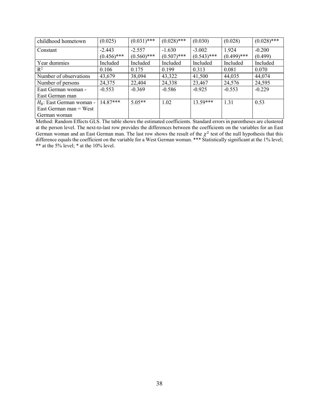| childhood hometown          | (0.025)       | $(0.031)$ *** | $(0.028)$ *** | (0.030)       | (0.028)       | $(0.028)$ *** |
|-----------------------------|---------------|---------------|---------------|---------------|---------------|---------------|
| Constant                    | $-2.443$      | $-2.557$      | $-1.630$      | $-3.002$      | 1.924         | $-0.200$      |
|                             | $(0.456)$ *** | $(0.560)$ *** | $(0.507)$ *** | $(0.543)$ *** | $(0.499)$ *** | (0.499)       |
| Year dummies                | Included      | Included      | Included      | Included      | Included      | Included      |
| $\mathbb{R}^2$              | 0.106         | 0.175         | 0.199         | 0.313         | 0.081         | 0.070         |
| Number of observations      | 43,679        | 38,094        | 43,322        | 41,500        | 44,035        | 44,074        |
| Number of persons           | 24,375        | 22,404        | 24,338        | 23,467        | 24,576        | 24,595        |
| East German woman -         | $-0.553$      | $-0.369$      | $-0.586$      | $-0.925$      | $-0.553$      | $-0.229$      |
| East German man             |               |               |               |               |               |               |
| $H_0$ : East German woman - | $14.87***$    | $5.05**$      | 1.02          | $13.59***$    | 1.31          | 0.53          |
| East German man $=$ West    |               |               |               |               |               |               |
| German woman                |               |               |               |               |               |               |

Method: Random Effects GLS. The table shows the estimated coefficients. Standard errors in parentheses are clustered at the person level. The next-to-last row provides the differences between the coefficients on the variables for an East German woman and an East German man. The last row shows the result of the  $\chi^2$  test of the null hypothesis that this difference equals the coefficient on the variable for a West German woman. \*\*\* Statistically significant at the 1% level; \*\* at the 5% level; \* at the  $10\%$  level.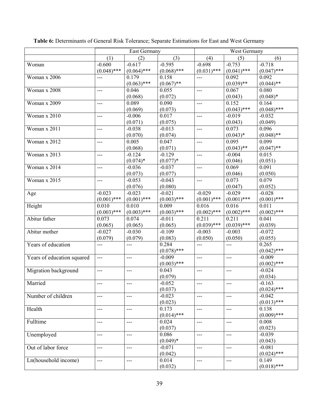|                            |                | <b>East Germany</b> |                        | West Germany   |                |                        |
|----------------------------|----------------|---------------------|------------------------|----------------|----------------|------------------------|
|                            | (1)            | (2)                 | (3)                    | (4)            | (5)            | (6)                    |
| Woman                      | $-0.600$       | $-0.617$            | $-0.595$               | $-0.698$       | $-0.753$       | $-0.718$               |
|                            | $(0.048)$ ***  | $(0.064)$ ***       | $(0.068)$ ***          | $(0.031)$ ***  | $(0.041)$ ***  | $(0.047)$ ***          |
| Woman x 2006               | $---$          | 0.179               | 0.158                  | $---$          | 0.092          | 0.092                  |
|                            |                | $(0.063)$ ***       | $(0.067)$ **           |                | $(0.039)$ **   | $(0.044)$ **           |
| Woman x 2008               | ---            | 0.046               | 0.055                  | $---$          | 0.067          | 0.080                  |
|                            |                | (0.068)             | (0.072)                |                | (0.043)        | $(0.048)*$             |
| Woman x 2009               | ---            | 0.089               | 0.090                  | $---$          | 0.152          | 0.164                  |
|                            |                | (0.069)             | (0.073)                |                | $(0.043)$ ***  | $(0.048)$ ***          |
| Woman x 2010               | $---$          | $-0.006$            | 0.017                  | $\overline{a}$ | $-0.019$       | $-0.032$               |
|                            |                | (0.071)             | (0.075)                |                | (0.043)        | (0.049)                |
| Woman x 2011               | ---            | $-0.038$            | $-0.013$               | ---            | 0.073          | 0.096                  |
|                            |                | (0.070)             | (0.074)                |                | $(0.043)*$     | $(0.048)$ **           |
| Woman x 2012               | $---$          | 0.005               | 0.047                  | $---$          | 0.095          | 0.099                  |
|                            |                | (0.068)             | (0.071)                |                | $(0.043)$ **   | $(0.047)$ **           |
| Woman x 2013               | $---$          | $-0.124$            | $-0.129$               | $---$          | $-0.004$       | 0.015                  |
|                            |                | $(0.074)$ *         | $(0.077)*$             |                | (0.046)        | (0.051)                |
| Woman $\overline{x}$ 2014  | ---            | $-0.036$            | $-0.037$               | $---$          | 0.069          | 0.091                  |
|                            |                | (0.073)             | (0.077)                |                | (0.046)        | (0.050)                |
| Woman $\overline{x}$ 2015  | ---            | $-0.053$            | $-0.043$               | $---$          | 0.073          | 0.079                  |
|                            |                | (0.076)             | (0.080)                |                | (0.047)        | (0.052)                |
| Age                        | $-0.023$       | $-0.023$            | $-0.021$               | $-0.029$       | $-0.029$       | $-0.028$               |
|                            | $(0.001)$ ***  | $(0.001)$ ***       | $(0.003)$ ***          | $(0.001)$ ***  | $(0.001)$ ***  | $(0.001)$ ***          |
| Height                     | 0.010          | 0.010               | 0.009                  | 0.016          | 0.016          | 0.011                  |
|                            | $(0.003)$ ***  | $(0.003)$ ***       | $(0.003)$ ***          | $(0.002)$ ***  | $(0.002)$ ***  | $(0.002)$ ***          |
| Abitur father              | 0.073          | 0.074               | $-0.011$               | 0.211          | 0.211          | 0.041                  |
|                            | (0.065)        | (0.065)             | (0.065)                | $(0.039)$ ***  | $(0.039)$ ***  | (0.039)                |
| Abitur mother              | $-0.027$       | $-0.030$            | $-0.109$               | $-0.003$       | $-0.003$       | $-0.072$               |
| Years of education         | (0.079)        | (0.079)             | (0.083)                | (0.050)        | (0.050)        | (0.055)                |
|                            | ---            | ---                 | 0.284<br>$(0.078)$ *** | ---            | $\overline{a}$ | 0.265<br>$(0.042)$ *** |
|                            | $\overline{a}$ | $---$               | $-0.009$               | $---$          | $\overline{a}$ | $-0.009$               |
| Years of education squared |                |                     | $(0.003)$ ***          |                |                | $(0.002)$ ***          |
| Migration background       | ---            | $---$               | 0.043                  | $---$          | $---$          | $-0.024$               |
|                            |                |                     | (0.079)                |                |                | (0.034)                |
| Married                    | $---$          | $---$               | $-0.052$               | $---$          | $---$          | $-0.163$               |
|                            |                |                     | (0.037)                |                |                | $(0.024)$ ***          |
| Number of children         | $---$          | $---$               | $-0.023$               | $\overline{a}$ | $---$          | $-0.042$               |
|                            |                |                     | (0.023)                |                |                | $(0.013)$ ***          |
| Health                     | $---$          | $---$               | 0.173                  | ---            | $---$          | 0.138                  |
|                            |                |                     | $(0.014)$ ***          |                |                | $(0.009)$ ***          |
| Fulltime                   | $---$          | $---$               | 0.024                  | $---$          | $\frac{1}{2}$  | 0.008                  |
|                            |                |                     | (0.037)                |                |                | (0.023)                |
| Unemployed                 | ---            | ---                 | 0.086                  | $---$          | $---$          | $-0.039$               |
|                            |                |                     | $(0.049)*$             |                |                | (0.043)                |
| Out of labor force         | ---            | ---                 | $-0.071$               | ---            | $---$          | $-0.081$               |
|                            |                |                     | (0.042)                |                |                | $(0.024)$ ***          |
| Ln(household income)       | $---$          | $---$               | 0.014                  | ---            | $---$          | 0.149                  |
|                            |                |                     | (0.032)                |                |                | $(0.018)$ ***          |

Table 6: Determinants of General Risk Tolerance; Separate Estimations for East and West Germany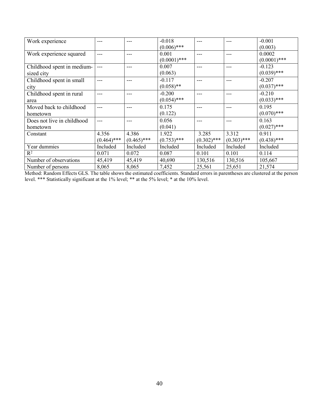| Work experience            |               |               | $-0.018$       | $- - -$       | ---           | $-0.001$       |
|----------------------------|---------------|---------------|----------------|---------------|---------------|----------------|
|                            |               |               | $(0.006)$ ***  |               |               | (0.003)        |
| Work experience squared    | ---           | ---           | 0.001          |               | ---           | 0.0002         |
|                            |               |               | $(0.0001)$ *** |               |               | $(0.0001)$ *** |
| Childhood spent in medium- | ---           | ---           | 0.007          |               | ---           | $-0.123$       |
| sized city                 |               |               | (0.063)        |               |               | $(0.039)$ ***  |
| Childhood spent in small   | ---           | ---           | $-0.117$       |               | $- - -$       | $-0.207$       |
| city                       |               |               | $(0.058)$ **   |               |               | $(0.037)$ ***  |
| Childhood spent in rural   |               |               | $-0.200$       |               |               | $-0.210$       |
| area                       |               |               | $(0.054)$ ***  |               |               | $(0.033)$ ***  |
| Moved back to childhood    | ---           | ---           | 0.175          |               |               | 0.195          |
| hometown                   |               |               | (0.122)        |               |               | $(0.070)$ ***  |
| Does not live in childhood |               |               | 0.056          | ---           | ---           | 0.163          |
| hometown                   |               |               | (0.041)        |               |               | $(0.027)$ ***  |
| Constant                   | 4.356         | 4.386         | 1.922          | 3.285         | 3.312         | 0.911          |
|                            | $(0.464)$ *** | $(0.465)$ *** | $(0.753)$ ***  | $(0.302)$ *** | $(0.303)$ *** | $(0.438)$ ***  |
| Year dummies               | Included      | Included      | Included       | Included      | Included      | Included       |
| $R^2$                      | 0.071         | 0.072         | 0.087          | 0.101         | 0.101         | 0.114          |
| Number of observations     | 45,419        | 45,419        | 40,690         | 130,516       | 130,516       | 105,667        |
| Number of persons          | 8,065         | 8,065         | 7,452          | 25,561        | 25,651        | 21,574         |

Method: Random Effects GLS. The table shows the estimated coefficients. Standard errors in parentheses are clustered at the person level. \*\*\* Statistically significant at the 1% level; \*\* at the 5% level; \* at the 10% level.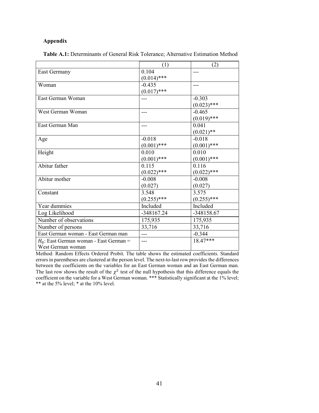## **Appendix**

|                                           | (1)           | (2)           |
|-------------------------------------------|---------------|---------------|
| <b>East Germany</b>                       | 0.104         | ---           |
|                                           | $(0.014)$ *** |               |
| Woman                                     | $-0.435$      | ---           |
|                                           | $(0.017)$ *** |               |
| East German Woman                         |               | $-0.303$      |
|                                           |               | $(0.023)$ *** |
| West German Woman                         |               | $-0.465$      |
|                                           |               | $(0.019)$ *** |
| East German Man                           |               | 0.041         |
|                                           |               | $(0.021)$ **  |
| Age                                       | $-0.018$      | $-0.018$      |
|                                           | $(0.001)$ *** | $(0.001)$ *** |
| Height                                    | 0.010         | 0.010         |
|                                           | $(0.001)$ *** | $(0.001)$ *** |
| Abitur father                             | 0.115         | 0.116         |
|                                           | $(0.022)$ *** | $(0.022)$ *** |
| Abitur mother                             | $-0.008$      | $-0.008$      |
|                                           | (0.027)       | (0.027)       |
| Constant                                  | 3.548         | 3.575         |
|                                           | $(0.255)$ *** | $(0.255)$ *** |
| Year dummies                              | Included      | Included      |
| Log Likelihood                            | -348167.24    | -348158.67    |
| Number of observations                    | 175,935       | 175,935       |
| Number of persons                         | 33,716        | 33,716        |
| East German woman - East German man       | $- - -$       | $-0.344$      |
| $H_0$ : East German woman - East German = |               | 18.47***      |
| West German woman                         |               |               |
|                                           |               |               |

Method: Random Effects Ordered Probit. The table shows the estimated coefficients. Standard errors in parentheses are clustered at the person level. The next-to-last row provides the differences between the coefficients on the variables for an East German woman and an East German man. The last row shows the result of the  $\chi^2$  test of the null hypothesis that this difference equals the coefficient on the variable for a West German woman. \*\*\* Statistically significant at the 1% level; \*\* at the 5% level; \* at the 10% level.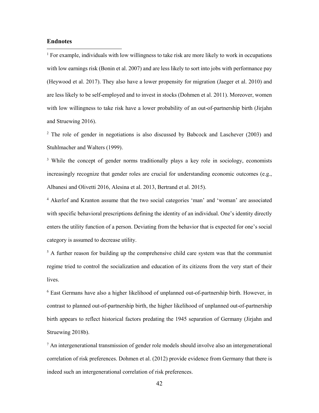## **Endnotes**

 $\overline{a}$ 

<span id="page-43-0"></span> $1$  For example, individuals with low willingness to take risk are more likely to work in occupations with low earnings risk (Bonin et al. 2007) and are less likely to sort into jobs with performance pay (Heywood et al. 2017). They also have a lower propensity for migration (Jaeger et al. 2010) and are less likely to be self-employed and to invest in stocks (Dohmen et al. 2011). Moreover, women with low willingness to take risk have a lower probability of an out-of-partnership birth (Jirjahn and Struewing 2016).

<span id="page-43-1"></span><sup>2</sup> The role of gender in negotiations is also discussed by Babcock and Laschever (2003) and Stuhlmacher and Walters (1999).

<span id="page-43-2"></span><sup>3</sup> While the concept of gender norms traditionally plays a key role in sociology, economists increasingly recognize that gender roles are crucial for understanding economic outcomes (e.g., Albanesi and Olivetti 2016, Alesina et al. 2013, Bertrand et al. 2015).

<span id="page-43-3"></span><sup>4</sup> Akerlof and Kranton assume that the two social categories 'man' and 'woman' are associated with specific behavioral prescriptions defining the identity of an individual. One's identity directly enters the utility function of a person. Deviating from the behavior that is expected for one's social category is assumed to decrease utility.

<span id="page-43-4"></span> $5$  A further reason for building up the comprehensive child care system was that the communist regime tried to control the socialization and education of its citizens from the very start of their lives.

<span id="page-43-5"></span> $6$  East Germans have also a higher likelihood of unplanned out-of-partnership birth. However, in contrast to planned out-of-partnership birth, the higher likelihood of unplanned out-of-partnership birth appears to reflect historical factors predating the 1945 separation of Germany (Jirjahn and Struewing 2018b).

<span id="page-43-6"></span> $<sup>7</sup>$  An intergenerational transmission of gender role models should involve also an intergenerational</sup> correlation of risk preferences. Dohmen et al. (2012) provide evidence from Germany that there is indeed such an intergenerational correlation of risk preferences.